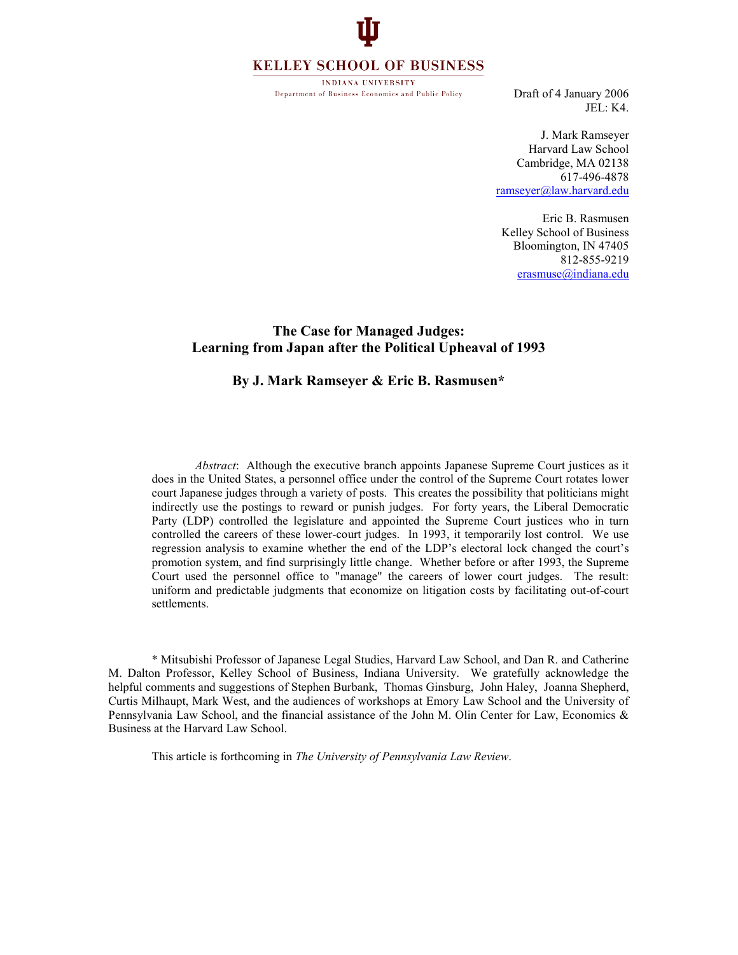# **KELLEY SCHOOL OF BUSINESS**

**INDIANA UNIVERSITY** Department of Business Economics and Public Policy

Draft of 4 January 2006 JEL: K4.

J. Mark Ramseyer Harvard Law School Cambridge, MA 02138 617-496-4878 ramseyer@law.harvard.edu

Eric B. Rasmusen Kelley School of Business Bloomington, IN 47405 812-855-9219 erasmuse@indiana.edu

# The Case for Managed Judges: Learning from Japan after the Political Upheaval of 1993

## By J. Mark Ramseyer & Eric B. Rasmusen\*

Abstract: Although the executive branch appoints Japanese Supreme Court justices as it does in the United States, a personnel office under the control of the Supreme Court rotates lower court Japanese judges through a variety of posts. This creates the possibility that politicians might indirectly use the postings to reward or punish judges. For forty years, the Liberal Democratic Party (LDP) controlled the legislature and appointed the Supreme Court justices who in turn controlled the careers of these lower-court judges. In 1993, it temporarily lost control. We use regression analysis to examine whether the end of the LDP's electoral lock changed the court's promotion system, and find surprisingly little change. Whether before or after 1993, the Supreme Court used the personnel office to "manage" the careers of lower court judges. The result: uniform and predictable judgments that economize on litigation costs by facilitating out-of-court settlements.

 \* Mitsubishi Professor of Japanese Legal Studies, Harvard Law School, and Dan R. and Catherine M. Dalton Professor, Kelley School of Business, Indiana University. We gratefully acknowledge the helpful comments and suggestions of Stephen Burbank, Thomas Ginsburg, John Haley, Joanna Shepherd, Curtis Milhaupt, Mark West, and the audiences of workshops at Emory Law School and the University of Pennsylvania Law School, and the financial assistance of the John M. Olin Center for Law, Economics & Business at the Harvard Law School.

This article is forthcoming in The University of Pennsylvania Law Review.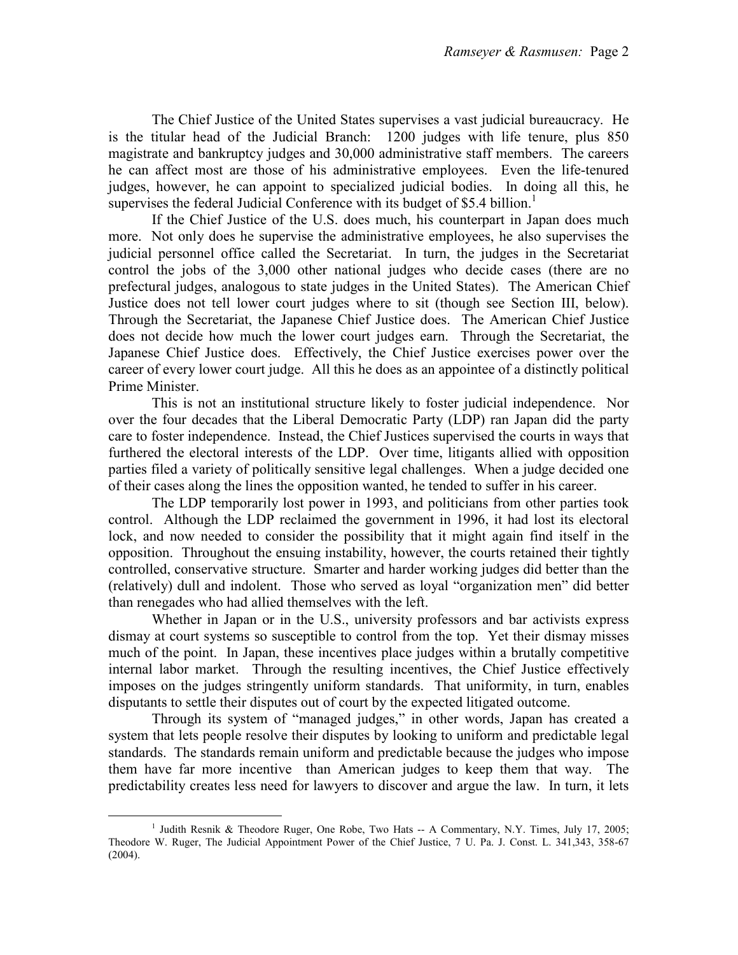The Chief Justice of the United States supervises a vast judicial bureaucracy. He is the titular head of the Judicial Branch: 1200 judges with life tenure, plus 850 magistrate and bankruptcy judges and 30,000 administrative staff members. The careers he can affect most are those of his administrative employees. Even the life-tenured judges, however, he can appoint to specialized judicial bodies. In doing all this, he supervises the federal Judicial Conference with its budget of \$5.4 billion.<sup>1</sup>

 If the Chief Justice of the U.S. does much, his counterpart in Japan does much more. Not only does he supervise the administrative employees, he also supervises the judicial personnel office called the Secretariat. In turn, the judges in the Secretariat control the jobs of the 3,000 other national judges who decide cases (there are no prefectural judges, analogous to state judges in the United States). The American Chief Justice does not tell lower court judges where to sit (though see Section III, below). Through the Secretariat, the Japanese Chief Justice does. The American Chief Justice does not decide how much the lower court judges earn. Through the Secretariat, the Japanese Chief Justice does. Effectively, the Chief Justice exercises power over the career of every lower court judge. All this he does as an appointee of a distinctly political Prime Minister.

 This is not an institutional structure likely to foster judicial independence. Nor over the four decades that the Liberal Democratic Party (LDP) ran Japan did the party care to foster independence. Instead, the Chief Justices supervised the courts in ways that furthered the electoral interests of the LDP. Over time, litigants allied with opposition parties filed a variety of politically sensitive legal challenges. When a judge decided one of their cases along the lines the opposition wanted, he tended to suffer in his career.

 The LDP temporarily lost power in 1993, and politicians from other parties took control. Although the LDP reclaimed the government in 1996, it had lost its electoral lock, and now needed to consider the possibility that it might again find itself in the opposition. Throughout the ensuing instability, however, the courts retained their tightly controlled, conservative structure. Smarter and harder working judges did better than the (relatively) dull and indolent. Those who served as loyal "organization men" did better than renegades who had allied themselves with the left.

Whether in Japan or in the U.S., university professors and bar activists express dismay at court systems so susceptible to control from the top. Yet their dismay misses much of the point. In Japan, these incentives place judges within a brutally competitive internal labor market. Through the resulting incentives, the Chief Justice effectively imposes on the judges stringently uniform standards. That uniformity, in turn, enables disputants to settle their disputes out of court by the expected litigated outcome.

 Through its system of "managed judges," in other words, Japan has created a system that lets people resolve their disputes by looking to uniform and predictable legal standards. The standards remain uniform and predictable because the judges who impose them have far more incentive than American judges to keep them that way. The predictability creates less need for lawyers to discover and argue the law. In turn, it lets

e<br>S <sup>1</sup> Judith Resnik & Theodore Ruger, One Robe, Two Hats -- A Commentary, N.Y. Times, July 17, 2005; Theodore W. Ruger, The Judicial Appointment Power of the Chief Justice, 7 U. Pa. J. Const. L. 341,343, 358-67 (2004).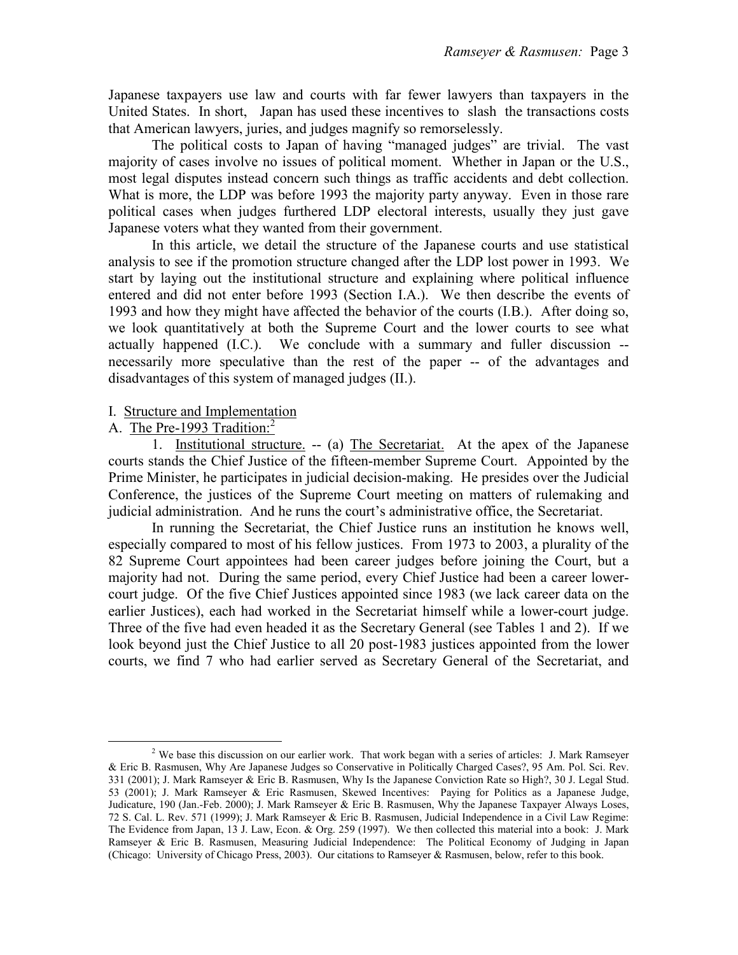Japanese taxpayers use law and courts with far fewer lawyers than taxpayers in the United States. In short, Japan has used these incentives to slash the transactions costs that American lawyers, juries, and judges magnify so remorselessly.

 The political costs to Japan of having "managed judges" are trivial. The vast majority of cases involve no issues of political moment. Whether in Japan or the U.S., most legal disputes instead concern such things as traffic accidents and debt collection. What is more, the LDP was before 1993 the majority party anyway. Even in those rare political cases when judges furthered LDP electoral interests, usually they just gave Japanese voters what they wanted from their government.

 In this article, we detail the structure of the Japanese courts and use statistical analysis to see if the promotion structure changed after the LDP lost power in 1993. We start by laying out the institutional structure and explaining where political influence entered and did not enter before 1993 (Section I.A.). We then describe the events of 1993 and how they might have affected the behavior of the courts (I.B.). After doing so, we look quantitatively at both the Supreme Court and the lower courts to see what actually happened (I.C.). We conclude with a summary and fuller discussion - necessarily more speculative than the rest of the paper -- of the advantages and disadvantages of this system of managed judges (II.).

# I. Structure and Implementation

# A. The Pre-1993 Tradition: $<sup>2</sup>$ </sup>

e<br>S

 1. Institutional structure. -- (a) The Secretariat. At the apex of the Japanese courts stands the Chief Justice of the fifteen-member Supreme Court. Appointed by the Prime Minister, he participates in judicial decision-making. He presides over the Judicial Conference, the justices of the Supreme Court meeting on matters of rulemaking and judicial administration. And he runs the court's administrative office, the Secretariat.

 In running the Secretariat, the Chief Justice runs an institution he knows well, especially compared to most of his fellow justices. From 1973 to 2003, a plurality of the 82 Supreme Court appointees had been career judges before joining the Court, but a majority had not. During the same period, every Chief Justice had been a career lowercourt judge. Of the five Chief Justices appointed since 1983 (we lack career data on the earlier Justices), each had worked in the Secretariat himself while a lower-court judge. Three of the five had even headed it as the Secretary General (see Tables 1 and 2). If we look beyond just the Chief Justice to all 20 post-1983 justices appointed from the lower courts, we find 7 who had earlier served as Secretary General of the Secretariat, and

<sup>&</sup>lt;sup>2</sup> We base this discussion on our earlier work. That work began with a series of articles: J. Mark Ramseyer & Eric B. Rasmusen, Why Are Japanese Judges so Conservative in Politically Charged Cases?, 95 Am. Pol. Sci. Rev. 331 (2001); J. Mark Ramseyer & Eric B. Rasmusen, Why Is the Japanese Conviction Rate so High?, 30 J. Legal Stud. 53 (2001); J. Mark Ramseyer & Eric Rasmusen, Skewed Incentives: Paying for Politics as a Japanese Judge, Judicature, 190 (Jan.-Feb. 2000); J. Mark Ramseyer & Eric B. Rasmusen, Why the Japanese Taxpayer Always Loses, 72 S. Cal. L. Rev. 571 (1999); J. Mark Ramseyer & Eric B. Rasmusen, Judicial Independence in a Civil Law Regime: The Evidence from Japan, 13 J. Law, Econ. & Org. 259 (1997). We then collected this material into a book: J. Mark Ramseyer & Eric B. Rasmusen, Measuring Judicial Independence: The Political Economy of Judging in Japan (Chicago: University of Chicago Press, 2003). Our citations to Ramseyer & Rasmusen, below, refer to this book.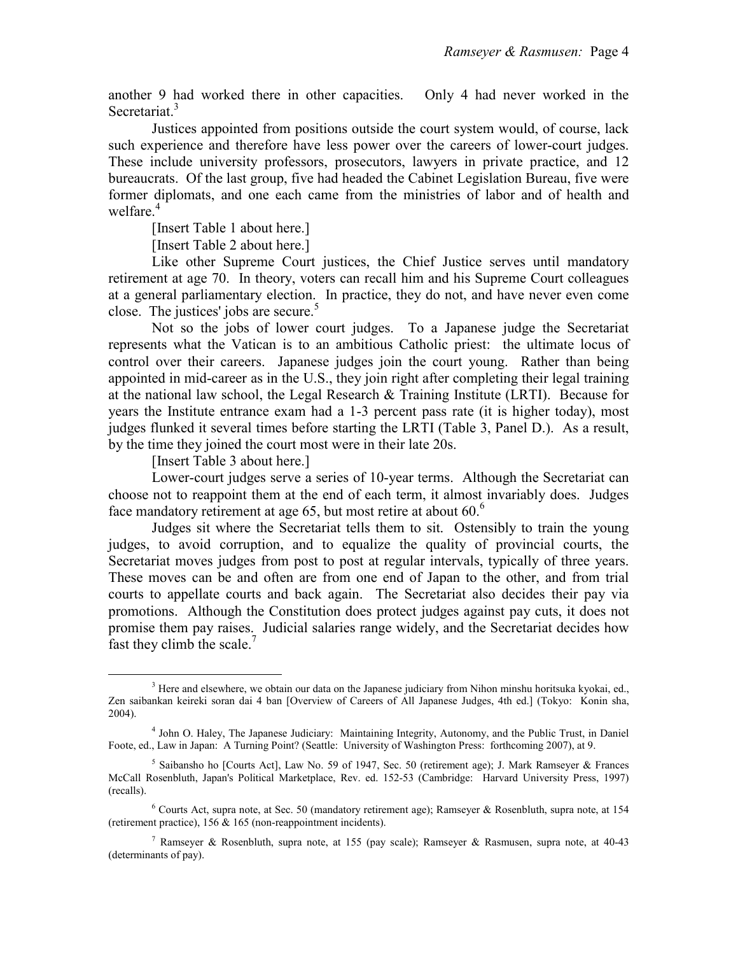another 9 had worked there in other capacities. Only 4 had never worked in the Secretariat.<sup>3</sup>

 Justices appointed from positions outside the court system would, of course, lack such experience and therefore have less power over the careers of lower-court judges. These include university professors, prosecutors, lawyers in private practice, and 12 bureaucrats. Of the last group, five had headed the Cabinet Legislation Bureau, five were former diplomats, and one each came from the ministries of labor and of health and welfare.<sup>4</sup>

[Insert Table 1 about here.]

[Insert Table 2 about here.]

 Like other Supreme Court justices, the Chief Justice serves until mandatory retirement at age 70. In theory, voters can recall him and his Supreme Court colleagues at a general parliamentary election. In practice, they do not, and have never even come close. The justices' jobs are secure.<sup>5</sup>

 Not so the jobs of lower court judges. To a Japanese judge the Secretariat represents what the Vatican is to an ambitious Catholic priest: the ultimate locus of control over their careers. Japanese judges join the court young. Rather than being appointed in mid-career as in the U.S., they join right after completing their legal training at the national law school, the Legal Research & Training Institute (LRTI). Because for years the Institute entrance exam had a 1-3 percent pass rate (it is higher today), most judges flunked it several times before starting the LRTI (Table 3, Panel D.). As a result, by the time they joined the court most were in their late 20s.

[Insert Table 3 about here.]

e<br>S

 Lower-court judges serve a series of 10-year terms. Although the Secretariat can choose not to reappoint them at the end of each term, it almost invariably does. Judges face mandatory retirement at age 65, but most retire at about 60.<sup>6</sup>

 Judges sit where the Secretariat tells them to sit. Ostensibly to train the young judges, to avoid corruption, and to equalize the quality of provincial courts, the Secretariat moves judges from post to post at regular intervals, typically of three years. These moves can be and often are from one end of Japan to the other, and from trial courts to appellate courts and back again. The Secretariat also decides their pay via promotions. Although the Constitution does protect judges against pay cuts, it does not promise them pay raises. Judicial salaries range widely, and the Secretariat decides how fast they climb the scale.<sup> $7$ </sup>

<sup>&</sup>lt;sup>3</sup> Here and elsewhere, we obtain our data on the Japanese judiciary from Nihon minshu horitsuka kyokai, ed., Zen saibankan keireki soran dai 4 ban [Overview of Careers of All Japanese Judges, 4th ed.] (Tokyo: Konin sha, 2004).

<sup>4</sup> John O. Haley, The Japanese Judiciary: Maintaining Integrity, Autonomy, and the Public Trust, in Daniel Foote, ed., Law in Japan: A Turning Point? (Seattle: University of Washington Press: forthcoming 2007), at 9.

<sup>5</sup> Saibansho ho [Courts Act], Law No. 59 of 1947, Sec. 50 (retirement age); J. Mark Ramseyer & Frances McCall Rosenbluth, Japan's Political Marketplace, Rev. ed. 152-53 (Cambridge: Harvard University Press, 1997) (recalls).

<sup>6</sup> Courts Act, supra note, at Sec. 50 (mandatory retirement age); Ramseyer & Rosenbluth, supra note, at 154 (retirement practice), 156 & 165 (non-reappointment incidents).

<sup>&</sup>lt;sup>7</sup> Ramseyer & Rosenbluth, supra note, at 155 (pay scale); Ramseyer & Rasmusen, supra note, at 40-43 (determinants of pay).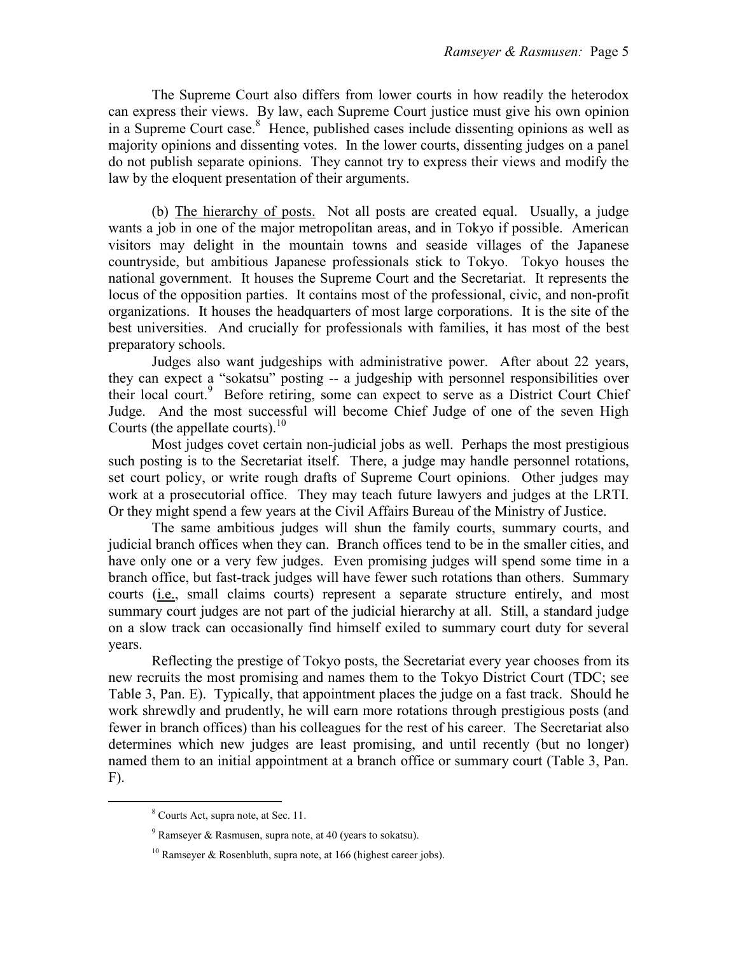The Supreme Court also differs from lower courts in how readily the heterodox can express their views. By law, each Supreme Court justice must give his own opinion in a Supreme Court case.<sup>8</sup> Hence, published cases include dissenting opinions as well as majority opinions and dissenting votes. In the lower courts, dissenting judges on a panel do not publish separate opinions. They cannot try to express their views and modify the law by the eloquent presentation of their arguments.

 (b) The hierarchy of posts. Not all posts are created equal. Usually, a judge wants a job in one of the major metropolitan areas, and in Tokyo if possible. American visitors may delight in the mountain towns and seaside villages of the Japanese countryside, but ambitious Japanese professionals stick to Tokyo. Tokyo houses the national government. It houses the Supreme Court and the Secretariat. It represents the locus of the opposition parties. It contains most of the professional, civic, and non-profit organizations. It houses the headquarters of most large corporations. It is the site of the best universities. And crucially for professionals with families, it has most of the best preparatory schools.

 Judges also want judgeships with administrative power. After about 22 years, they can expect a "sokatsu" posting -- a judgeship with personnel responsibilities over their local court.<sup>9</sup> Before retiring, some can expect to serve as a District Court Chief Judge. And the most successful will become Chief Judge of one of the seven High Courts (the appellate courts). $^{10}$ 

 Most judges covet certain non-judicial jobs as well. Perhaps the most prestigious such posting is to the Secretariat itself. There, a judge may handle personnel rotations, set court policy, or write rough drafts of Supreme Court opinions. Other judges may work at a prosecutorial office. They may teach future lawyers and judges at the LRTI. Or they might spend a few years at the Civil Affairs Bureau of the Ministry of Justice.

 The same ambitious judges will shun the family courts, summary courts, and judicial branch offices when they can. Branch offices tend to be in the smaller cities, and have only one or a very few judges. Even promising judges will spend some time in a branch office, but fast-track judges will have fewer such rotations than others. Summary courts (i.e., small claims courts) represent a separate structure entirely, and most summary court judges are not part of the judicial hierarchy at all. Still, a standard judge on a slow track can occasionally find himself exiled to summary court duty for several years.

 Reflecting the prestige of Tokyo posts, the Secretariat every year chooses from its new recruits the most promising and names them to the Tokyo District Court (TDC; see Table 3, Pan. E). Typically, that appointment places the judge on a fast track. Should he work shrewdly and prudently, he will earn more rotations through prestigious posts (and fewer in branch offices) than his colleagues for the rest of his career. The Secretariat also determines which new judges are least promising, and until recently (but no longer) named them to an initial appointment at a branch office or summary court (Table 3, Pan. F).

<sup>&</sup>lt;sup>8</sup> Courts Act, supra note, at Sec. 11.

 $9^9$  Ramseyer & Rasmusen, supra note, at 40 (years to sokatsu).

<sup>&</sup>lt;sup>10</sup> Ramseyer & Rosenbluth, supra note, at 166 (highest career jobs).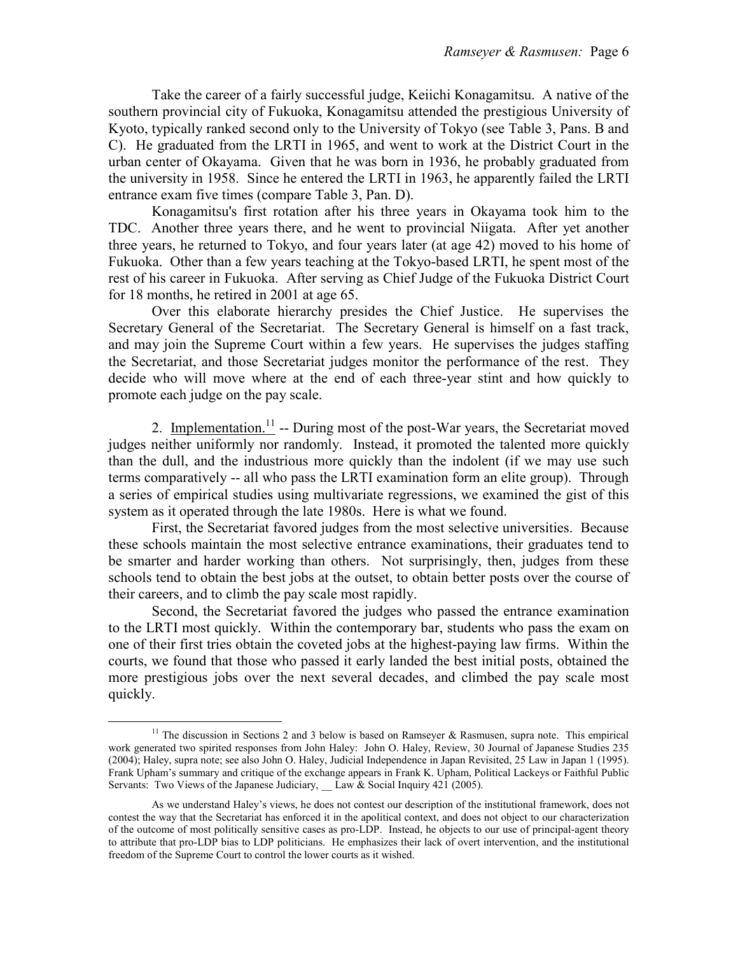Take the career of a fairly successful judge, Keiichi Konagamitsu. A native of the southern provincial city of Fukuoka, Konagamitsu attended the prestigious University of Kyoto, typically ranked second only to the University of Tokyo (see Table 3, Pans. B and C). He graduated from the LRTI in 1965, and went to work at the District Court in the urban center of Okayama. Given that he was born in 1936, he probably graduated from the university in 1958. Since he entered the LRTI in 1963, he apparently failed the LRTI entrance exam five times (compare Table 3, Pan. D).

 Konagamitsu's first rotation after his three years in Okayama took him to the TDC. Another three years there, and he went to provincial Niigata. After yet another three years, he returned to Tokyo, and four years later (at age 42) moved to his home of Fukuoka. Other than a few years teaching at the Tokyo-based LRTI, he spent most of the rest of his career in Fukuoka. After serving as Chief Judge of the Fukuoka District Court for 18 months, he retired in 2001 at age 65.

 Over this elaborate hierarchy presides the Chief Justice. He supervises the Secretary General of the Secretariat. The Secretary General is himself on a fast track, and may join the Supreme Court within a few years. He supervises the judges staffing the Secretariat, and those Secretariat judges monitor the performance of the rest. They decide who will move where at the end of each three-year stint and how quickly to promote each judge on the pay scale.

2. Implementation.<sup>11</sup> -- During most of the post-War years, the Secretariat moved judges neither uniformly nor randomly. Instead, it promoted the talented more quickly than the dull, and the industrious more quickly than the indolent (if we may use such terms comparatively -- all who pass the LRTI examination form an elite group). Through a series of empirical studies using multivariate regressions, we examined the gist of this system as it operated through the late 1980s. Here is what we found.

 First, the Secretariat favored judges from the most selective universities. Because these schools maintain the most selective entrance examinations, their graduates tend to be smarter and harder working than others. Not surprisingly, then, judges from these schools tend to obtain the best jobs at the outset, to obtain better posts over the course of their careers, and to climb the pay scale most rapidly.

 Second, the Secretariat favored the judges who passed the entrance examination to the LRTI most quickly. Within the contemporary bar, students who pass the exam on one of their first tries obtain the coveted jobs at the highest-paying law firms. Within the courts, we found that those who passed it early landed the best initial posts, obtained the more prestigious jobs over the next several decades, and climbed the pay scale most quickly.

e<br>S

<sup>&</sup>lt;sup>11</sup> The discussion in Sections 2 and 3 below is based on Ramseyer & Rasmusen, supra note. This empirical work generated two spirited responses from John Haley: John O. Haley, Review, 30 Journal of Japanese Studies 235 (2004); Haley, supra note; see also John O. Haley, Judicial Independence in Japan Revisited, 25 Law in Japan 1 (1995). Frank Upham's summary and critique of the exchange appears in Frank K. Upham, Political Lackeys or Faithful Public Servants: Two Views of the Japanese Judiciary, Law & Social Inquiry 421 (2005).

As we understand Haley's views, he does not contest our description of the institutional framework, does not contest the way that the Secretariat has enforced it in the apolitical context, and does not object to our characterization of the outcome of most politically sensitive cases as pro-LDP. Instead, he objects to our use of principal-agent theory to attribute that pro-LDP bias to LDP politicians. He emphasizes their lack of overt intervention, and the institutional freedom of the Supreme Court to control the lower courts as it wished.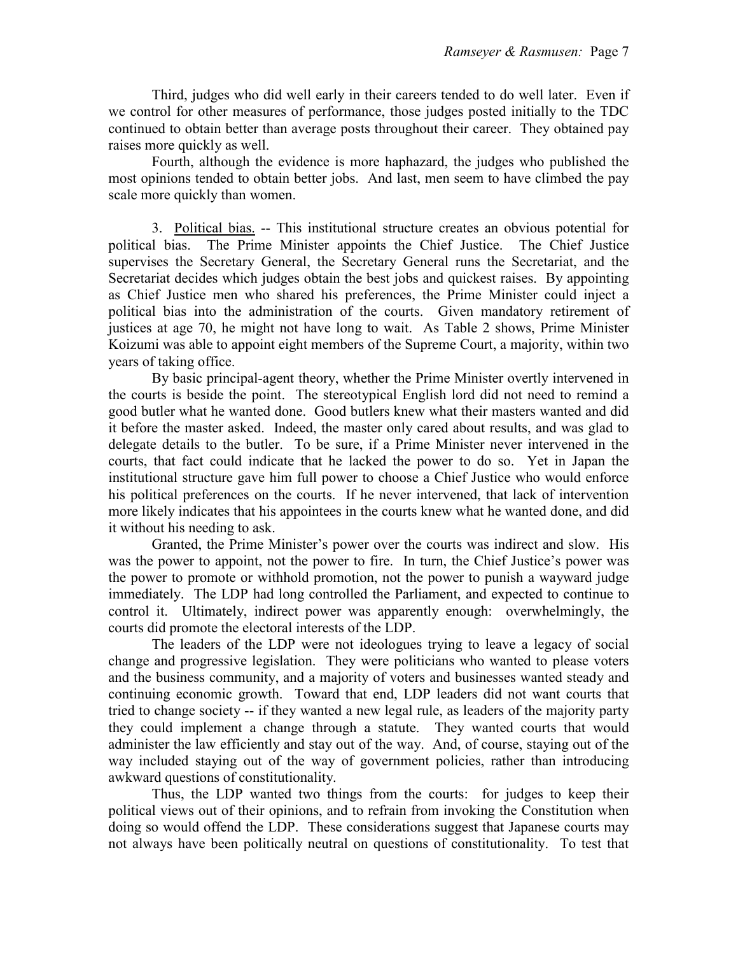Third, judges who did well early in their careers tended to do well later. Even if we control for other measures of performance, those judges posted initially to the TDC continued to obtain better than average posts throughout their career. They obtained pay raises more quickly as well.

 Fourth, although the evidence is more haphazard, the judges who published the most opinions tended to obtain better jobs. And last, men seem to have climbed the pay scale more quickly than women.

 3. Political bias. -- This institutional structure creates an obvious potential for political bias. The Prime Minister appoints the Chief Justice. The Chief Justice supervises the Secretary General, the Secretary General runs the Secretariat, and the Secretariat decides which judges obtain the best jobs and quickest raises. By appointing as Chief Justice men who shared his preferences, the Prime Minister could inject a political bias into the administration of the courts. Given mandatory retirement of justices at age 70, he might not have long to wait. As Table 2 shows, Prime Minister Koizumi was able to appoint eight members of the Supreme Court, a majority, within two years of taking office.

 By basic principal-agent theory, whether the Prime Minister overtly intervened in the courts is beside the point. The stereotypical English lord did not need to remind a good butler what he wanted done. Good butlers knew what their masters wanted and did it before the master asked. Indeed, the master only cared about results, and was glad to delegate details to the butler. To be sure, if a Prime Minister never intervened in the courts, that fact could indicate that he lacked the power to do so. Yet in Japan the institutional structure gave him full power to choose a Chief Justice who would enforce his political preferences on the courts. If he never intervened, that lack of intervention more likely indicates that his appointees in the courts knew what he wanted done, and did it without his needing to ask.

 Granted, the Prime Minister's power over the courts was indirect and slow. His was the power to appoint, not the power to fire. In turn, the Chief Justice's power was the power to promote or withhold promotion, not the power to punish a wayward judge immediately. The LDP had long controlled the Parliament, and expected to continue to control it. Ultimately, indirect power was apparently enough: overwhelmingly, the courts did promote the electoral interests of the LDP.

 The leaders of the LDP were not ideologues trying to leave a legacy of social change and progressive legislation. They were politicians who wanted to please voters and the business community, and a majority of voters and businesses wanted steady and continuing economic growth. Toward that end, LDP leaders did not want courts that tried to change society -- if they wanted a new legal rule, as leaders of the majority party they could implement a change through a statute. They wanted courts that would administer the law efficiently and stay out of the way. And, of course, staying out of the way included staying out of the way of government policies, rather than introducing awkward questions of constitutionality.

 Thus, the LDP wanted two things from the courts: for judges to keep their political views out of their opinions, and to refrain from invoking the Constitution when doing so would offend the LDP. These considerations suggest that Japanese courts may not always have been politically neutral on questions of constitutionality. To test that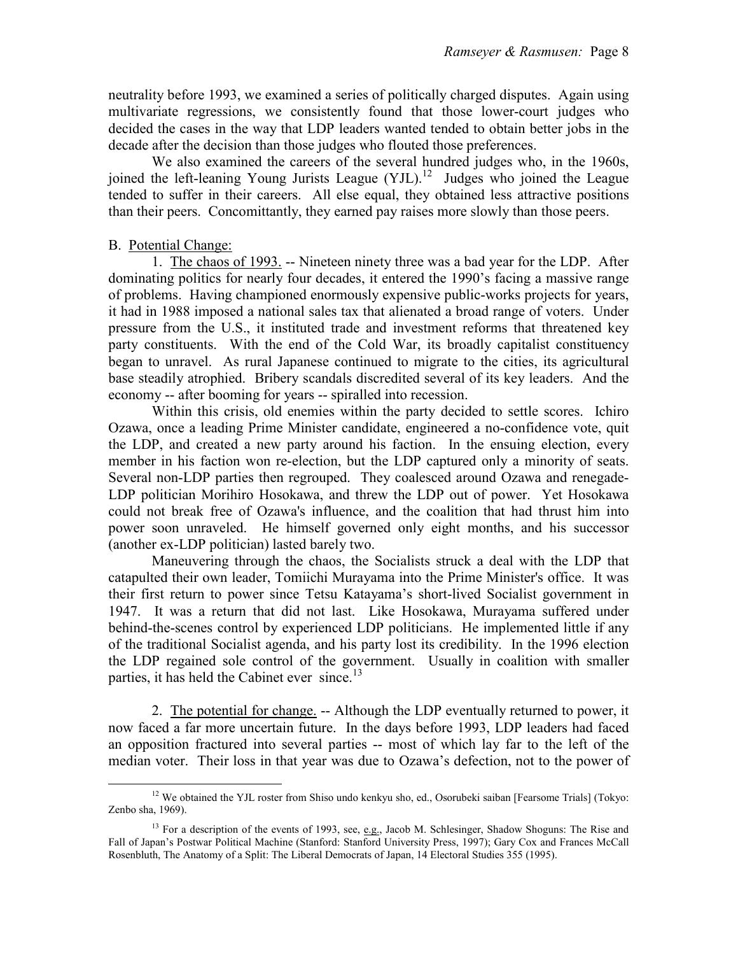neutrality before 1993, we examined a series of politically charged disputes. Again using multivariate regressions, we consistently found that those lower-court judges who decided the cases in the way that LDP leaders wanted tended to obtain better jobs in the decade after the decision than those judges who flouted those preferences.

We also examined the careers of the several hundred judges who, in the 1960s, joined the left-leaning Young Jurists League  $(YJL)$ .<sup>12</sup> Judges who joined the League tended to suffer in their careers. All else equal, they obtained less attractive positions than their peers. Concomittantly, they earned pay raises more slowly than those peers.

# B. Potential Change:

e<br>S

1. The chaos of 1993. -- Nineteen ninety three was a bad year for the LDP. After dominating politics for nearly four decades, it entered the 1990's facing a massive range of problems. Having championed enormously expensive public-works projects for years, it had in 1988 imposed a national sales tax that alienated a broad range of voters. Under pressure from the U.S., it instituted trade and investment reforms that threatened key party constituents. With the end of the Cold War, its broadly capitalist constituency began to unravel. As rural Japanese continued to migrate to the cities, its agricultural base steadily atrophied. Bribery scandals discredited several of its key leaders. And the economy -- after booming for years -- spiralled into recession.

Within this crisis, old enemies within the party decided to settle scores. Ichiro Ozawa, once a leading Prime Minister candidate, engineered a no-confidence vote, quit the LDP, and created a new party around his faction. In the ensuing election, every member in his faction won re-election, but the LDP captured only a minority of seats. Several non-LDP parties then regrouped. They coalesced around Ozawa and renegade-LDP politician Morihiro Hosokawa, and threw the LDP out of power. Yet Hosokawa could not break free of Ozawa's influence, and the coalition that had thrust him into power soon unraveled. He himself governed only eight months, and his successor (another ex-LDP politician) lasted barely two.

Maneuvering through the chaos, the Socialists struck a deal with the LDP that catapulted their own leader, Tomiichi Murayama into the Prime Minister's office. It was their first return to power since Tetsu Katayama's short-lived Socialist government in 1947. It was a return that did not last. Like Hosokawa, Murayama suffered under behind-the-scenes control by experienced LDP politicians. He implemented little if any of the traditional Socialist agenda, and his party lost its credibility. In the 1996 election the LDP regained sole control of the government. Usually in coalition with smaller parties, it has held the Cabinet ever since.<sup>13</sup>

 2. The potential for change. -- Although the LDP eventually returned to power, it now faced a far more uncertain future. In the days before 1993, LDP leaders had faced an opposition fractured into several parties -- most of which lay far to the left of the median voter. Their loss in that year was due to Ozawa's defection, not to the power of

<sup>&</sup>lt;sup>12</sup> We obtained the YJL roster from Shiso undo kenkyu sho, ed., Osorubeki saiban [Fearsome Trials] (Tokyo: Zenbo sha, 1969).

<sup>&</sup>lt;sup>13</sup> For a description of the events of 1993, see, e.g., Jacob M. Schlesinger, Shadow Shoguns: The Rise and Fall of Japan's Postwar Political Machine (Stanford: Stanford University Press, 1997); Gary Cox and Frances McCall Rosenbluth, The Anatomy of a Split: The Liberal Democrats of Japan, 14 Electoral Studies 355 (1995).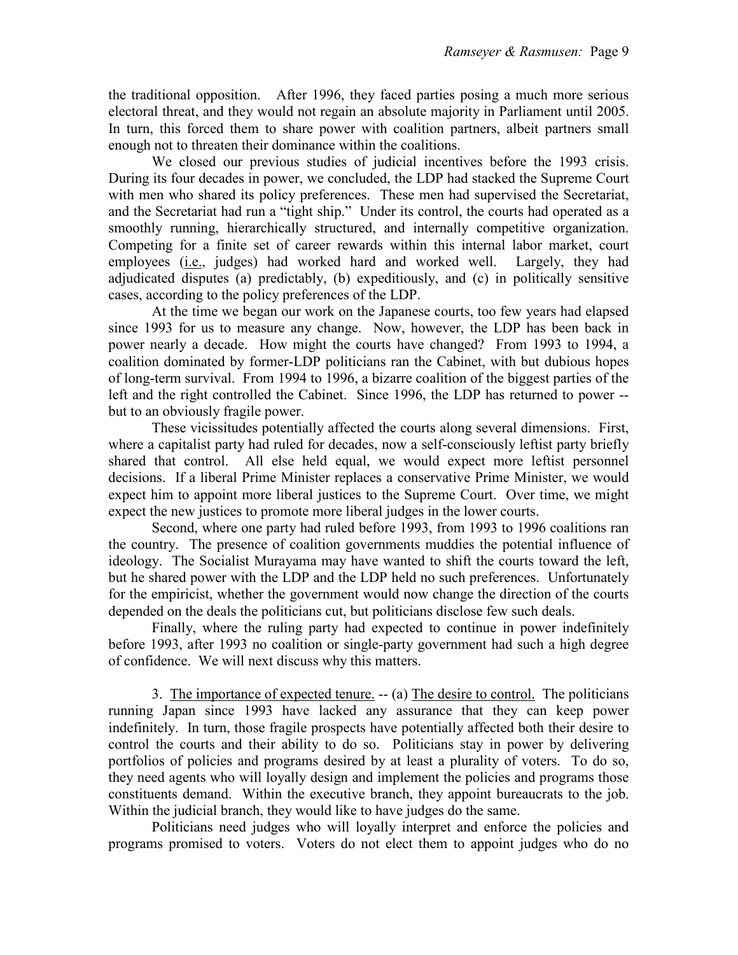the traditional opposition. After 1996, they faced parties posing a much more serious electoral threat, and they would not regain an absolute majority in Parliament until 2005. In turn, this forced them to share power with coalition partners, albeit partners small enough not to threaten their dominance within the coalitions.

We closed our previous studies of judicial incentives before the 1993 crisis. During its four decades in power, we concluded, the LDP had stacked the Supreme Court with men who shared its policy preferences. These men had supervised the Secretariat, and the Secretariat had run a "tight ship." Under its control, the courts had operated as a smoothly running, hierarchically structured, and internally competitive organization. Competing for a finite set of career rewards within this internal labor market, court employees (i.e., judges) had worked hard and worked well. Largely, they had adjudicated disputes (a) predictably, (b) expeditiously, and (c) in politically sensitive cases, according to the policy preferences of the LDP.

At the time we began our work on the Japanese courts, too few years had elapsed since 1993 for us to measure any change. Now, however, the LDP has been back in power nearly a decade. How might the courts have changed? From 1993 to 1994, a coalition dominated by former-LDP politicians ran the Cabinet, with but dubious hopes of long-term survival. From 1994 to 1996, a bizarre coalition of the biggest parties of the left and the right controlled the Cabinet. Since 1996, the LDP has returned to power - but to an obviously fragile power.

These vicissitudes potentially affected the courts along several dimensions. First, where a capitalist party had ruled for decades, now a self-consciously leftist party briefly shared that control. All else held equal, we would expect more leftist personnel decisions. If a liberal Prime Minister replaces a conservative Prime Minister, we would expect him to appoint more liberal justices to the Supreme Court. Over time, we might expect the new justices to promote more liberal judges in the lower courts.

Second, where one party had ruled before 1993, from 1993 to 1996 coalitions ran the country. The presence of coalition governments muddies the potential influence of ideology. The Socialist Murayama may have wanted to shift the courts toward the left, but he shared power with the LDP and the LDP held no such preferences. Unfortunately for the empiricist, whether the government would now change the direction of the courts depended on the deals the politicians cut, but politicians disclose few such deals.

Finally, where the ruling party had expected to continue in power indefinitely before 1993, after 1993 no coalition or single-party government had such a high degree of confidence. We will next discuss why this matters.

3. The importance of expected tenure. -- (a) The desire to control. The politicians running Japan since 1993 have lacked any assurance that they can keep power indefinitely. In turn, those fragile prospects have potentially affected both their desire to control the courts and their ability to do so. Politicians stay in power by delivering portfolios of policies and programs desired by at least a plurality of voters. To do so, they need agents who will loyally design and implement the policies and programs those constituents demand. Within the executive branch, they appoint bureaucrats to the job. Within the judicial branch, they would like to have judges do the same.

 Politicians need judges who will loyally interpret and enforce the policies and programs promised to voters. Voters do not elect them to appoint judges who do no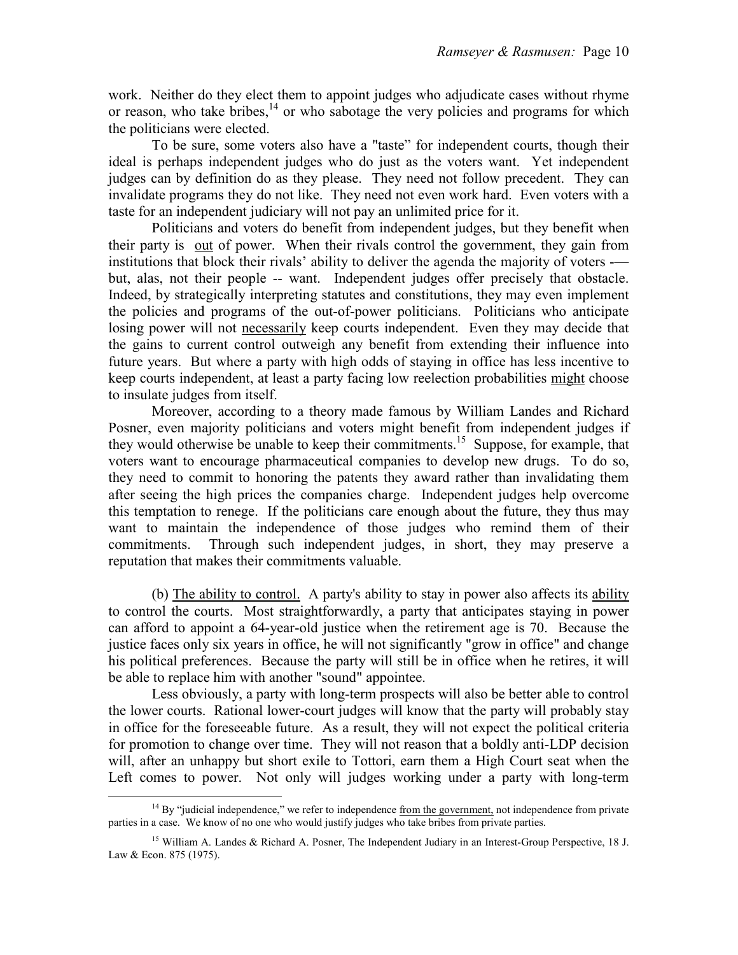work. Neither do they elect them to appoint judges who adjudicate cases without rhyme or reason, who take bribes, $14$  or who sabotage the very policies and programs for which the politicians were elected.

 To be sure, some voters also have a "taste" for independent courts, though their ideal is perhaps independent judges who do just as the voters want. Yet independent judges can by definition do as they please. They need not follow precedent. They can invalidate programs they do not like. They need not even work hard. Even voters with a taste for an independent judiciary will not pay an unlimited price for it.

 Politicians and voters do benefit from independent judges, but they benefit when their party is out of power. When their rivals control the government, they gain from institutions that block their rivals' ability to deliver the agenda the majority of voters - but, alas, not their people -- want. Independent judges offer precisely that obstacle. Indeed, by strategically interpreting statutes and constitutions, they may even implement the policies and programs of the out-of-power politicians. Politicians who anticipate losing power will not necessarily keep courts independent. Even they may decide that the gains to current control outweigh any benefit from extending their influence into future years. But where a party with high odds of staying in office has less incentive to keep courts independent, at least a party facing low reelection probabilities might choose to insulate judges from itself.

 Moreover, according to a theory made famous by William Landes and Richard Posner, even majority politicians and voters might benefit from independent judges if they would otherwise be unable to keep their commitments.<sup>15</sup> Suppose, for example, that voters want to encourage pharmaceutical companies to develop new drugs. To do so, they need to commit to honoring the patents they award rather than invalidating them after seeing the high prices the companies charge. Independent judges help overcome this temptation to renege. If the politicians care enough about the future, they thus may want to maintain the independence of those judges who remind them of their commitments. Through such independent judges, in short, they may preserve a reputation that makes their commitments valuable.

(b) The ability to control. A party's ability to stay in power also affects its ability to control the courts. Most straightforwardly, a party that anticipates staying in power can afford to appoint a 64-year-old justice when the retirement age is 70. Because the justice faces only six years in office, he will not significantly "grow in office" and change his political preferences. Because the party will still be in office when he retires, it will be able to replace him with another "sound" appointee.

Less obviously, a party with long-term prospects will also be better able to control the lower courts. Rational lower-court judges will know that the party will probably stay in office for the foreseeable future. As a result, they will not expect the political criteria for promotion to change over time. They will not reason that a boldly anti-LDP decision will, after an unhappy but short exile to Tottori, earn them a High Court seat when the Left comes to power. Not only will judges working under a party with long-term

<sup>&</sup>lt;sup>14</sup> By "judicial independence," we refer to independence from the government, not independence from private parties in a case. We know of no one who would justify judges who take bribes from private parties.

<sup>&</sup>lt;sup>15</sup> William A. Landes & Richard A. Posner, The Independent Judiary in an Interest-Group Perspective, 18 J. Law & Econ. 875 (1975).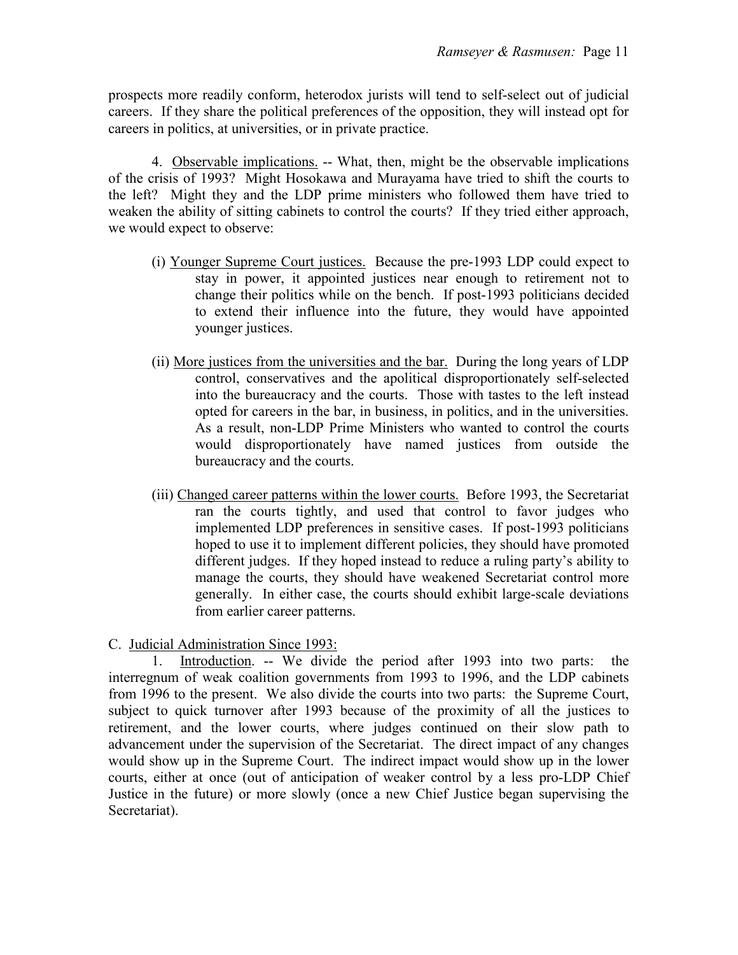prospects more readily conform, heterodox jurists will tend to self-select out of judicial careers. If they share the political preferences of the opposition, they will instead opt for careers in politics, at universities, or in private practice.

 4. Observable implications. -- What, then, might be the observable implications of the crisis of 1993? Might Hosokawa and Murayama have tried to shift the courts to the left? Might they and the LDP prime ministers who followed them have tried to weaken the ability of sitting cabinets to control the courts? If they tried either approach, we would expect to observe:

- (i) Younger Supreme Court justices. Because the pre-1993 LDP could expect to stay in power, it appointed justices near enough to retirement not to change their politics while on the bench. If post-1993 politicians decided to extend their influence into the future, they would have appointed younger justices.
- (ii) More justices from the universities and the bar. During the long years of LDP control, conservatives and the apolitical disproportionately self-selected into the bureaucracy and the courts. Those with tastes to the left instead opted for careers in the bar, in business, in politics, and in the universities. As a result, non-LDP Prime Ministers who wanted to control the courts would disproportionately have named justices from outside the bureaucracy and the courts.
- (iii) Changed career patterns within the lower courts. Before 1993, the Secretariat ran the courts tightly, and used that control to favor judges who implemented LDP preferences in sensitive cases. If post-1993 politicians hoped to use it to implement different policies, they should have promoted different judges. If they hoped instead to reduce a ruling party's ability to manage the courts, they should have weakened Secretariat control more generally. In either case, the courts should exhibit large-scale deviations from earlier career patterns.

C. Judicial Administration Since 1993:

 1. Introduction. -- We divide the period after 1993 into two parts: the interregnum of weak coalition governments from 1993 to 1996, and the LDP cabinets from 1996 to the present. We also divide the courts into two parts: the Supreme Court, subject to quick turnover after 1993 because of the proximity of all the justices to retirement, and the lower courts, where judges continued on their slow path to advancement under the supervision of the Secretariat. The direct impact of any changes would show up in the Supreme Court. The indirect impact would show up in the lower courts, either at once (out of anticipation of weaker control by a less pro-LDP Chief Justice in the future) or more slowly (once a new Chief Justice began supervising the Secretariat).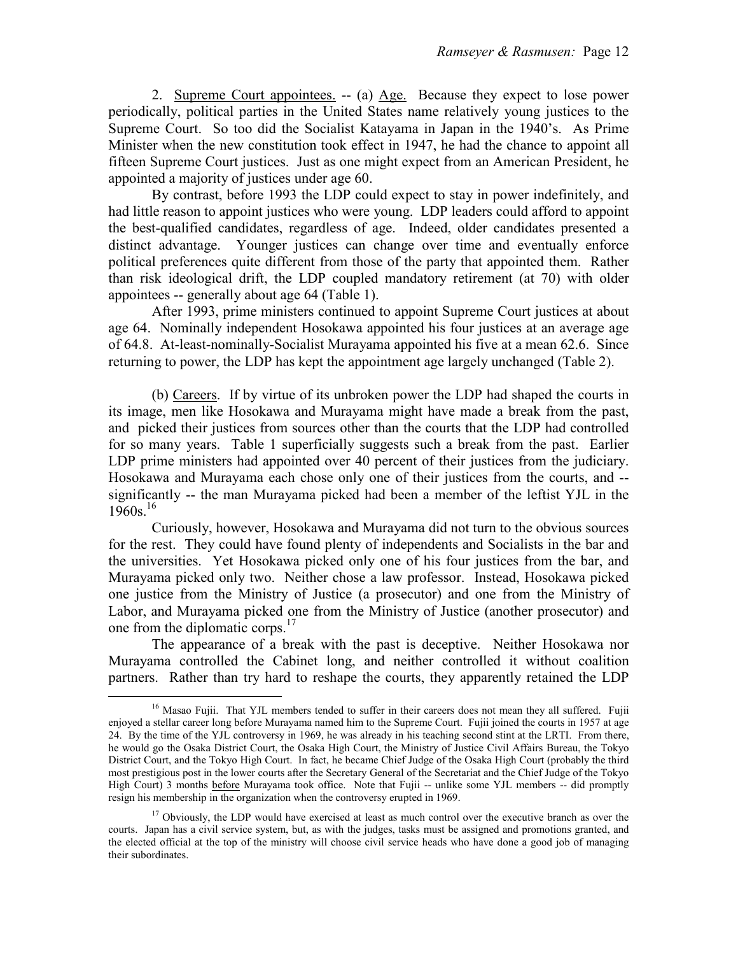2. Supreme Court appointees. -- (a) Age. Because they expect to lose power periodically, political parties in the United States name relatively young justices to the Supreme Court. So too did the Socialist Katayama in Japan in the 1940's. As Prime Minister when the new constitution took effect in 1947, he had the chance to appoint all fifteen Supreme Court justices. Just as one might expect from an American President, he appointed a majority of justices under age 60.

 By contrast, before 1993 the LDP could expect to stay in power indefinitely, and had little reason to appoint justices who were young. LDP leaders could afford to appoint the best-qualified candidates, regardless of age. Indeed, older candidates presented a distinct advantage. Younger justices can change over time and eventually enforce political preferences quite different from those of the party that appointed them. Rather than risk ideological drift, the LDP coupled mandatory retirement (at 70) with older appointees -- generally about age 64 (Table 1).

 After 1993, prime ministers continued to appoint Supreme Court justices at about age 64. Nominally independent Hosokawa appointed his four justices at an average age of 64.8. At-least-nominally-Socialist Murayama appointed his five at a mean 62.6. Since returning to power, the LDP has kept the appointment age largely unchanged (Table 2).

 (b) Careers. If by virtue of its unbroken power the LDP had shaped the courts in its image, men like Hosokawa and Murayama might have made a break from the past, and picked their justices from sources other than the courts that the LDP had controlled for so many years. Table 1 superficially suggests such a break from the past. Earlier LDP prime ministers had appointed over 40 percent of their justices from the judiciary. Hosokawa and Murayama each chose only one of their justices from the courts, and - significantly -- the man Murayama picked had been a member of the leftist YJL in the  $1960s.<sup>16</sup>$ 

 Curiously, however, Hosokawa and Murayama did not turn to the obvious sources for the rest. They could have found plenty of independents and Socialists in the bar and the universities. Yet Hosokawa picked only one of his four justices from the bar, and Murayama picked only two. Neither chose a law professor. Instead, Hosokawa picked one justice from the Ministry of Justice (a prosecutor) and one from the Ministry of Labor, and Murayama picked one from the Ministry of Justice (another prosecutor) and one from the diplomatic corps.<sup>17</sup>

 The appearance of a break with the past is deceptive. Neither Hosokawa nor Murayama controlled the Cabinet long, and neither controlled it without coalition partners. Rather than try hard to reshape the courts, they apparently retained the LDP

e<br>S

<sup>&</sup>lt;sup>16</sup> Masao Fujii. That YJL members tended to suffer in their careers does not mean they all suffered. Fujii enjoyed a stellar career long before Murayama named him to the Supreme Court. Fujii joined the courts in 1957 at age 24. By the time of the YJL controversy in 1969, he was already in his teaching second stint at the LRTI. From there, he would go the Osaka District Court, the Osaka High Court, the Ministry of Justice Civil Affairs Bureau, the Tokyo District Court, and the Tokyo High Court. In fact, he became Chief Judge of the Osaka High Court (probably the third most prestigious post in the lower courts after the Secretary General of the Secretariat and the Chief Judge of the Tokyo High Court) 3 months before Murayama took office. Note that Fujii -- unlike some YJL members -- did promptly resign his membership in the organization when the controversy erupted in 1969.

 $17$  Obviously, the LDP would have exercised at least as much control over the executive branch as over the courts. Japan has a civil service system, but, as with the judges, tasks must be assigned and promotions granted, and the elected official at the top of the ministry will choose civil service heads who have done a good job of managing their subordinates.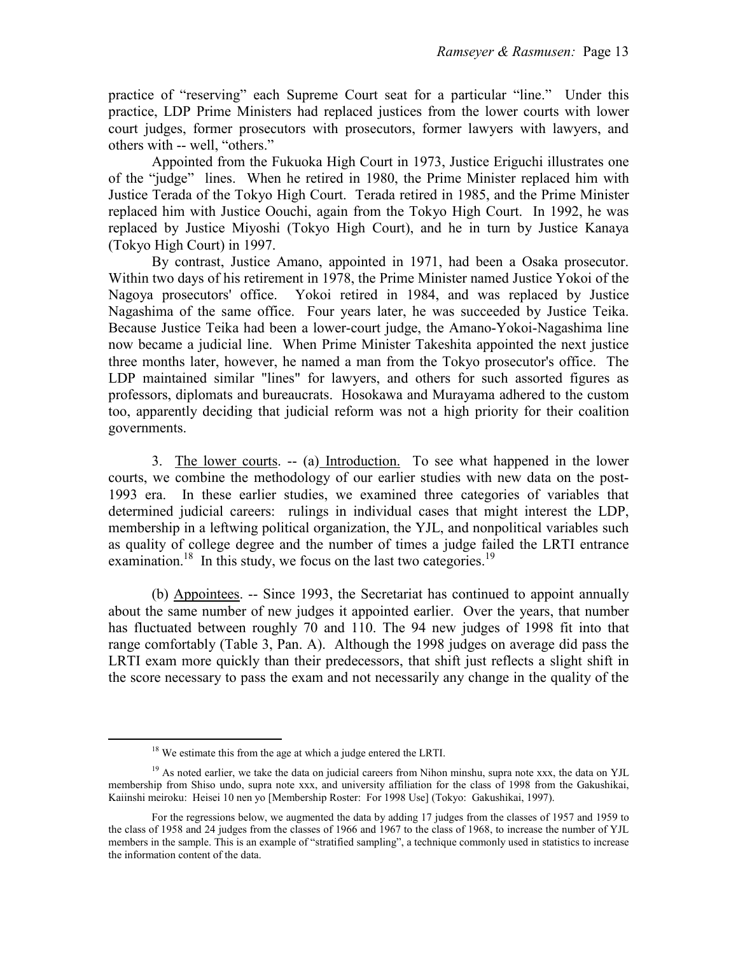practice of "reserving" each Supreme Court seat for a particular "line." Under this practice, LDP Prime Ministers had replaced justices from the lower courts with lower court judges, former prosecutors with prosecutors, former lawyers with lawyers, and others with -- well, "others."

 Appointed from the Fukuoka High Court in 1973, Justice Eriguchi illustrates one of the "judge" lines. When he retired in 1980, the Prime Minister replaced him with Justice Terada of the Tokyo High Court. Terada retired in 1985, and the Prime Minister replaced him with Justice Oouchi, again from the Tokyo High Court. In 1992, he was replaced by Justice Miyoshi (Tokyo High Court), and he in turn by Justice Kanaya (Tokyo High Court) in 1997.

 By contrast, Justice Amano, appointed in 1971, had been a Osaka prosecutor. Within two days of his retirement in 1978, the Prime Minister named Justice Yokoi of the Nagoya prosecutors' office. Yokoi retired in 1984, and was replaced by Justice Nagashima of the same office. Four years later, he was succeeded by Justice Teika. Because Justice Teika had been a lower-court judge, the Amano-Yokoi-Nagashima line now became a judicial line. When Prime Minister Takeshita appointed the next justice three months later, however, he named a man from the Tokyo prosecutor's office. The LDP maintained similar "lines" for lawyers, and others for such assorted figures as professors, diplomats and bureaucrats. Hosokawa and Murayama adhered to the custom too, apparently deciding that judicial reform was not a high priority for their coalition governments.

 3. The lower courts. -- (a) Introduction. To see what happened in the lower courts, we combine the methodology of our earlier studies with new data on the post-1993 era. In these earlier studies, we examined three categories of variables that determined judicial careers: rulings in individual cases that might interest the LDP, membership in a leftwing political organization, the YJL, and nonpolitical variables such as quality of college degree and the number of times a judge failed the LRTI entrance examination.<sup>18</sup> In this study, we focus on the last two categories.<sup>19</sup>

 (b) Appointees. -- Since 1993, the Secretariat has continued to appoint annually about the same number of new judges it appointed earlier. Over the years, that number has fluctuated between roughly 70 and 110. The 94 new judges of 1998 fit into that range comfortably (Table 3, Pan. A). Although the 1998 judges on average did pass the LRTI exam more quickly than their predecessors, that shift just reflects a slight shift in the score necessary to pass the exam and not necessarily any change in the quality of the

e<br>S

<sup>&</sup>lt;sup>18</sup> We estimate this from the age at which a judge entered the LRTI.

 $19$  As noted earlier, we take the data on judicial careers from Nihon minshu, supra note xxx, the data on YJL membership from Shiso undo, supra note xxx, and university affiliation for the class of 1998 from the Gakushikai, Kaiinshi meiroku: Heisei 10 nen yo [Membership Roster: For 1998 Use] (Tokyo: Gakushikai, 1997).

For the regressions below, we augmented the data by adding 17 judges from the classes of 1957 and 1959 to the class of 1958 and 24 judges from the classes of 1966 and 1967 to the class of 1968, to increase the number of YJL members in the sample. This is an example of "stratified sampling", a technique commonly used in statistics to increase the information content of the data.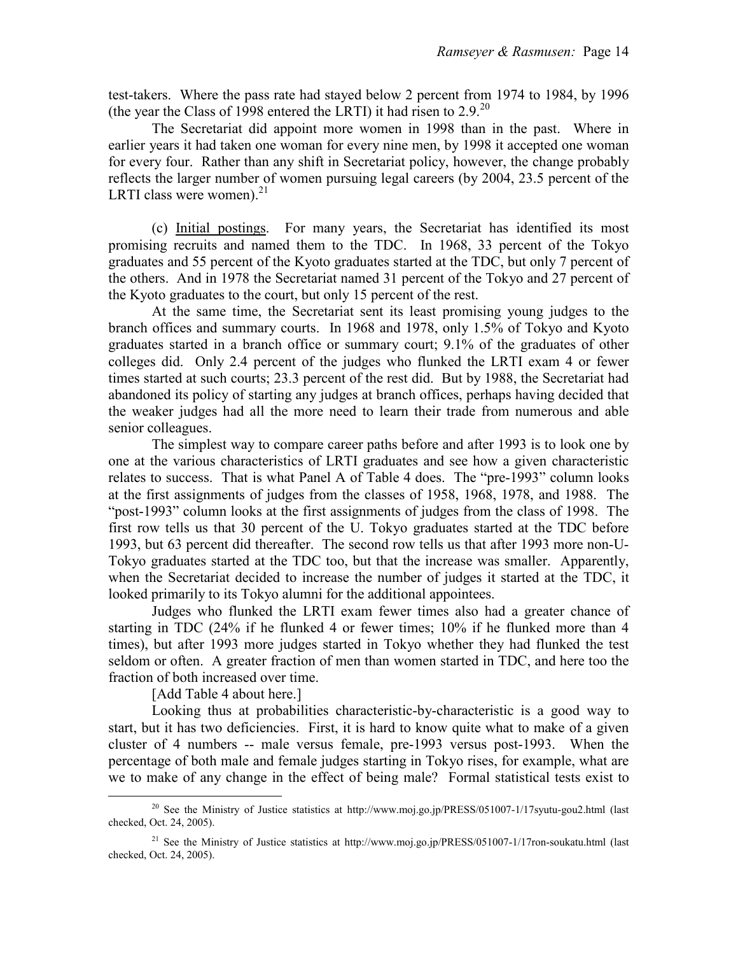test-takers. Where the pass rate had stayed below 2 percent from 1974 to 1984, by 1996 (the year the Class of 1998 entered the LRTI) it had risen to  $2.9^{20}$ 

 The Secretariat did appoint more women in 1998 than in the past. Where in earlier years it had taken one woman for every nine men, by 1998 it accepted one woman for every four. Rather than any shift in Secretariat policy, however, the change probably reflects the larger number of women pursuing legal careers (by 2004, 23.5 percent of the LRTI class were women). $21$ 

 (c) Initial postings. For many years, the Secretariat has identified its most promising recruits and named them to the TDC. In 1968, 33 percent of the Tokyo graduates and 55 percent of the Kyoto graduates started at the TDC, but only 7 percent of the others. And in 1978 the Secretariat named 31 percent of the Tokyo and 27 percent of the Kyoto graduates to the court, but only 15 percent of the rest.

 At the same time, the Secretariat sent its least promising young judges to the branch offices and summary courts. In 1968 and 1978, only 1.5% of Tokyo and Kyoto graduates started in a branch office or summary court; 9.1% of the graduates of other colleges did. Only 2.4 percent of the judges who flunked the LRTI exam 4 or fewer times started at such courts; 23.3 percent of the rest did. But by 1988, the Secretariat had abandoned its policy of starting any judges at branch offices, perhaps having decided that the weaker judges had all the more need to learn their trade from numerous and able senior colleagues.

 The simplest way to compare career paths before and after 1993 is to look one by one at the various characteristics of LRTI graduates and see how a given characteristic relates to success. That is what Panel A of Table 4 does. The "pre-1993" column looks at the first assignments of judges from the classes of 1958, 1968, 1978, and 1988. The "post-1993" column looks at the first assignments of judges from the class of 1998. The first row tells us that 30 percent of the U. Tokyo graduates started at the TDC before 1993, but 63 percent did thereafter. The second row tells us that after 1993 more non-U-Tokyo graduates started at the TDC too, but that the increase was smaller. Apparently, when the Secretariat decided to increase the number of judges it started at the TDC, it looked primarily to its Tokyo alumni for the additional appointees.

 Judges who flunked the LRTI exam fewer times also had a greater chance of starting in TDC (24% if he flunked 4 or fewer times; 10% if he flunked more than 4 times), but after 1993 more judges started in Tokyo whether they had flunked the test seldom or often. A greater fraction of men than women started in TDC, and here too the fraction of both increased over time.

[Add Table 4 about here.]

 Looking thus at probabilities characteristic-by-characteristic is a good way to start, but it has two deficiencies. First, it is hard to know quite what to make of a given cluster of 4 numbers -- male versus female, pre-1993 versus post-1993. When the percentage of both male and female judges starting in Tokyo rises, for example, what are we to make of any change in the effect of being male? Formal statistical tests exist to

<sup>&</sup>lt;sup>20</sup> See the Ministry of Justice statistics at http://www.moj.go.jp/PRESS/051007-1/17syutu-gou2.html (last checked, Oct. 24, 2005).

<sup>&</sup>lt;sup>21</sup> See the Ministry of Justice statistics at http://www.moj.go.jp/PRESS/051007-1/17ron-soukatu.html (last checked, Oct. 24, 2005).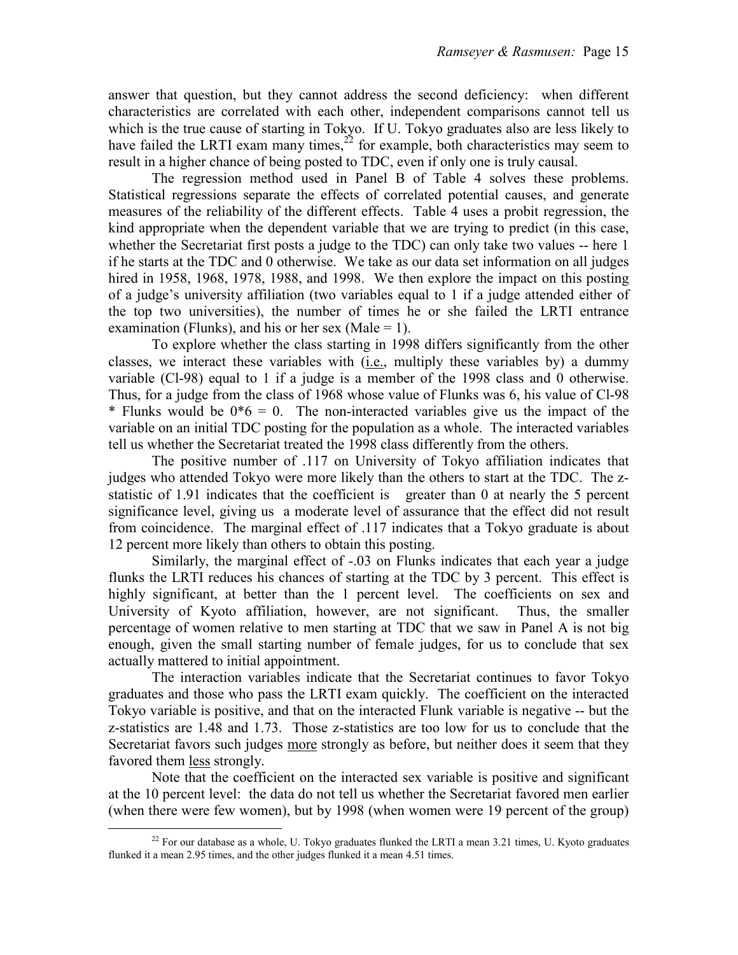answer that question, but they cannot address the second deficiency: when different characteristics are correlated with each other, independent comparisons cannot tell us which is the true cause of starting in Tokyo. If U. Tokyo graduates also are less likely to have failed the LRTI exam many times, $2^2$  for example, both characteristics may seem to result in a higher chance of being posted to TDC, even if only one is truly causal.

 The regression method used in Panel B of Table 4 solves these problems. Statistical regressions separate the effects of correlated potential causes, and generate measures of the reliability of the different effects. Table 4 uses a probit regression, the kind appropriate when the dependent variable that we are trying to predict (in this case, whether the Secretariat first posts a judge to the TDC) can only take two values -- here 1 if he starts at the TDC and 0 otherwise. We take as our data set information on all judges hired in 1958, 1968, 1978, 1988, and 1998. We then explore the impact on this posting of a judge's university affiliation (two variables equal to 1 if a judge attended either of the top two universities), the number of times he or she failed the LRTI entrance examination (Flunks), and his or her sex (Male  $= 1$ ).

 To explore whether the class starting in 1998 differs significantly from the other classes, we interact these variables with (i.e., multiply these variables by) a dummy variable (Cl-98) equal to 1 if a judge is a member of the 1998 class and 0 otherwise. Thus, for a judge from the class of 1968 whose value of Flunks was 6, his value of Cl-98 \* Flunks would be  $0*6 = 0$ . The non-interacted variables give us the impact of the variable on an initial TDC posting for the population as a whole. The interacted variables tell us whether the Secretariat treated the 1998 class differently from the others.

 The positive number of .117 on University of Tokyo affiliation indicates that judges who attended Tokyo were more likely than the others to start at the TDC. The zstatistic of 1.91 indicates that the coefficient is greater than 0 at nearly the 5 percent significance level, giving us a moderate level of assurance that the effect did not result from coincidence. The marginal effect of .117 indicates that a Tokyo graduate is about 12 percent more likely than others to obtain this posting.

Similarly, the marginal effect of -.03 on Flunks indicates that each year a judge flunks the LRTI reduces his chances of starting at the TDC by 3 percent. This effect is highly significant, at better than the 1 percent level. The coefficients on sex and University of Kyoto affiliation, however, are not significant. Thus, the smaller percentage of women relative to men starting at TDC that we saw in Panel A is not big enough, given the small starting number of female judges, for us to conclude that sex actually mattered to initial appointment.

 The interaction variables indicate that the Secretariat continues to favor Tokyo graduates and those who pass the LRTI exam quickly. The coefficient on the interacted Tokyo variable is positive, and that on the interacted Flunk variable is negative -- but the z-statistics are 1.48 and 1.73. Those z-statistics are too low for us to conclude that the Secretariat favors such judges more strongly as before, but neither does it seem that they favored them less strongly.

 Note that the coefficient on the interacted sex variable is positive and significant at the 10 percent level: the data do not tell us whether the Secretariat favored men earlier (when there were few women), but by 1998 (when women were 19 percent of the group)

e<br>S

 $^{22}$  For our database as a whole, U. Tokyo graduates flunked the LRTI a mean 3.21 times, U. Kyoto graduates flunked it a mean 2.95 times, and the other judges flunked it a mean 4.51 times.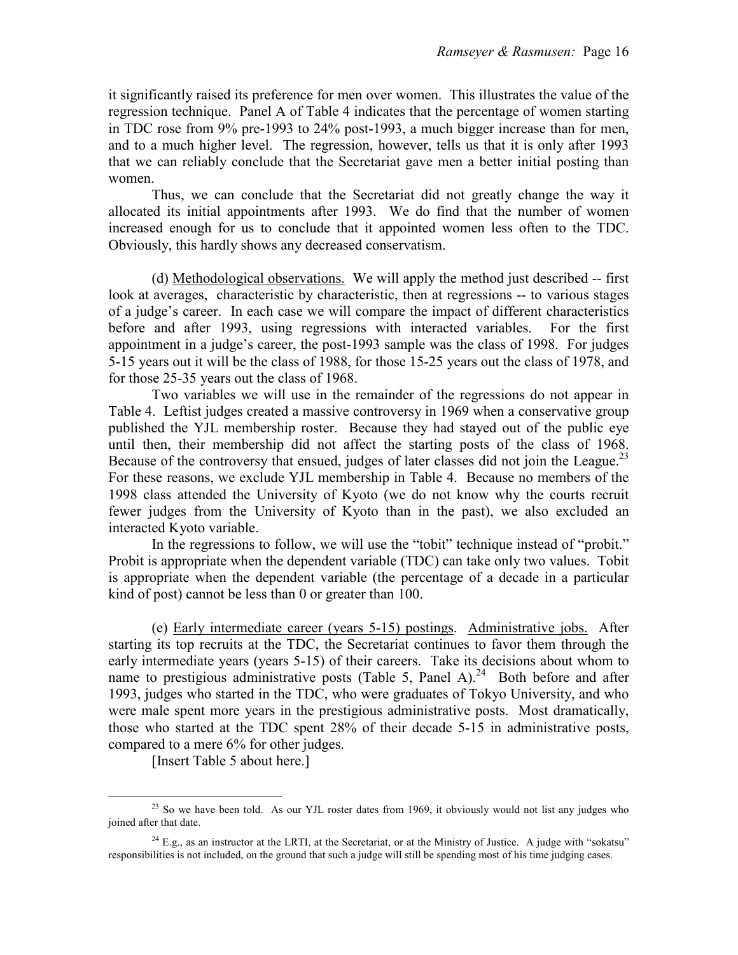it significantly raised its preference for men over women. This illustrates the value of the regression technique. Panel A of Table 4 indicates that the percentage of women starting in TDC rose from 9% pre-1993 to 24% post-1993, a much bigger increase than for men, and to a much higher level. The regression, however, tells us that it is only after 1993 that we can reliably conclude that the Secretariat gave men a better initial posting than women.

 Thus, we can conclude that the Secretariat did not greatly change the way it allocated its initial appointments after 1993. We do find that the number of women increased enough for us to conclude that it appointed women less often to the TDC. Obviously, this hardly shows any decreased conservatism.

 (d) Methodological observations. We will apply the method just described -- first look at averages, characteristic by characteristic, then at regressions -- to various stages of a judge's career. In each case we will compare the impact of different characteristics before and after 1993, using regressions with interacted variables. For the first appointment in a judge's career, the post-1993 sample was the class of 1998. For judges 5-15 years out it will be the class of 1988, for those 15-25 years out the class of 1978, and for those 25-35 years out the class of 1968.

 Two variables we will use in the remainder of the regressions do not appear in Table 4. Leftist judges created a massive controversy in 1969 when a conservative group published the YJL membership roster. Because they had stayed out of the public eye until then, their membership did not affect the starting posts of the class of 1968. Because of the controversy that ensued, judges of later classes did not join the League.<sup>23</sup> For these reasons, we exclude YJL membership in Table 4. Because no members of the 1998 class attended the University of Kyoto (we do not know why the courts recruit fewer judges from the University of Kyoto than in the past), we also excluded an interacted Kyoto variable.

 In the regressions to follow, we will use the "tobit" technique instead of "probit." Probit is appropriate when the dependent variable (TDC) can take only two values. Tobit is appropriate when the dependent variable (the percentage of a decade in a particular kind of post) cannot be less than 0 or greater than 100.

 (e) Early intermediate career (years 5-15) postings. Administrative jobs. After starting its top recruits at the TDC, the Secretariat continues to favor them through the early intermediate years (years 5-15) of their careers. Take its decisions about whom to name to prestigious administrative posts (Table 5, Panel A).<sup>24</sup> Both before and after 1993, judges who started in the TDC, who were graduates of Tokyo University, and who were male spent more years in the prestigious administrative posts. Most dramatically, those who started at the TDC spent 28% of their decade 5-15 in administrative posts, compared to a mere 6% for other judges.

[Insert Table 5 about here.]

<sup>&</sup>lt;sup>23</sup> So we have been told. As our YJL roster dates from 1969, it obviously would not list any judges who joined after that date.

 $24$  E.g., as an instructor at the LRTI, at the Secretariat, or at the Ministry of Justice. A judge with "sokatsu" responsibilities is not included, on the ground that such a judge will still be spending most of his time judging cases.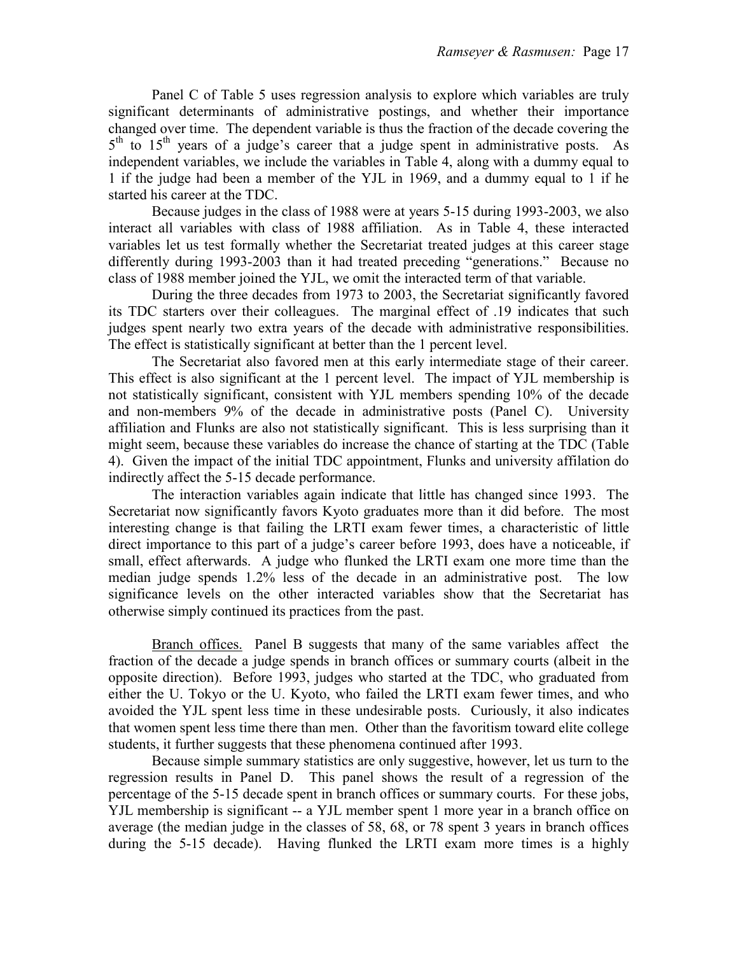Panel C of Table 5 uses regression analysis to explore which variables are truly significant determinants of administrative postings, and whether their importance changed over time. The dependent variable is thus the fraction of the decade covering the 5<sup>th</sup> to 15<sup>th</sup> years of a judge's career that a judge spent in administrative posts. As independent variables, we include the variables in Table 4, along with a dummy equal to 1 if the judge had been a member of the YJL in 1969, and a dummy equal to 1 if he started his career at the TDC.

 Because judges in the class of 1988 were at years 5-15 during 1993-2003, we also interact all variables with class of 1988 affiliation. As in Table 4, these interacted variables let us test formally whether the Secretariat treated judges at this career stage differently during 1993-2003 than it had treated preceding "generations." Because no class of 1988 member joined the YJL, we omit the interacted term of that variable.

 During the three decades from 1973 to 2003, the Secretariat significantly favored its TDC starters over their colleagues. The marginal effect of .19 indicates that such judges spent nearly two extra years of the decade with administrative responsibilities. The effect is statistically significant at better than the 1 percent level.

 The Secretariat also favored men at this early intermediate stage of their career. This effect is also significant at the 1 percent level. The impact of YJL membership is not statistically significant, consistent with YJL members spending 10% of the decade and non-members 9% of the decade in administrative posts (Panel C). University affiliation and Flunks are also not statistically significant. This is less surprising than it might seem, because these variables do increase the chance of starting at the TDC (Table 4). Given the impact of the initial TDC appointment, Flunks and university affilation do indirectly affect the 5-15 decade performance.

 The interaction variables again indicate that little has changed since 1993. The Secretariat now significantly favors Kyoto graduates more than it did before. The most interesting change is that failing the LRTI exam fewer times, a characteristic of little direct importance to this part of a judge's career before 1993, does have a noticeable, if small, effect afterwards. A judge who flunked the LRTI exam one more time than the median judge spends 1.2% less of the decade in an administrative post. The low significance levels on the other interacted variables show that the Secretariat has otherwise simply continued its practices from the past.

 Branch offices. Panel B suggests that many of the same variables affect the fraction of the decade a judge spends in branch offices or summary courts (albeit in the opposite direction). Before 1993, judges who started at the TDC, who graduated from either the U. Tokyo or the U. Kyoto, who failed the LRTI exam fewer times, and who avoided the YJL spent less time in these undesirable posts. Curiously, it also indicates that women spent less time there than men. Other than the favoritism toward elite college students, it further suggests that these phenomena continued after 1993.

 Because simple summary statistics are only suggestive, however, let us turn to the regression results in Panel D. This panel shows the result of a regression of the percentage of the 5-15 decade spent in branch offices or summary courts. For these jobs, YJL membership is significant -- a YJL member spent 1 more year in a branch office on average (the median judge in the classes of 58, 68, or 78 spent 3 years in branch offices during the 5-15 decade). Having flunked the LRTI exam more times is a highly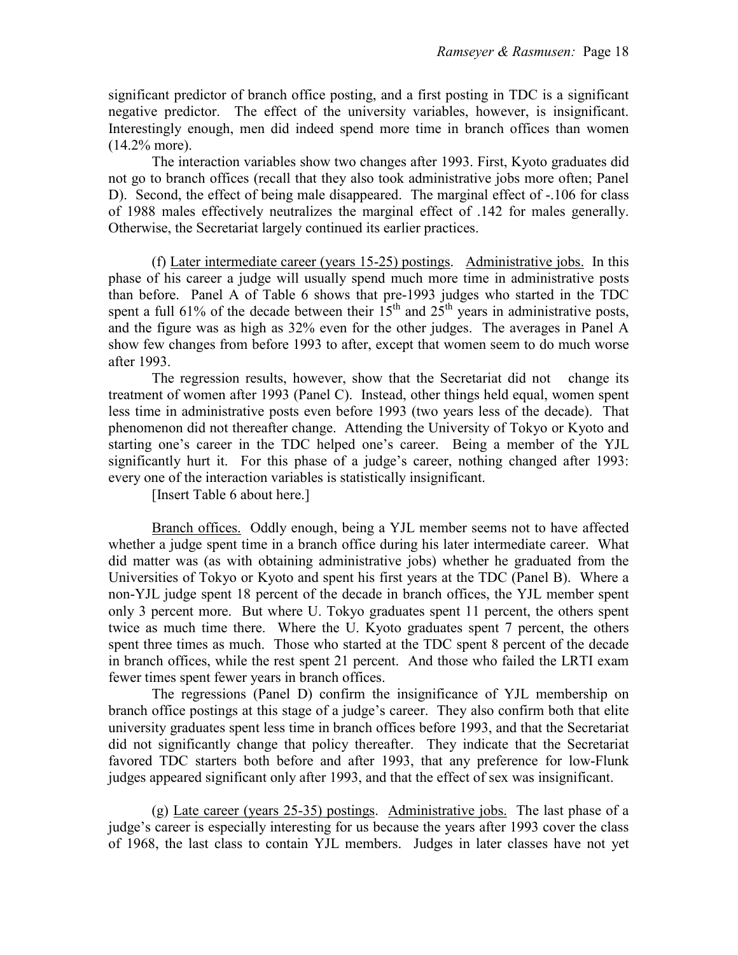significant predictor of branch office posting, and a first posting in TDC is a significant negative predictor. The effect of the university variables, however, is insignificant. Interestingly enough, men did indeed spend more time in branch offices than women (14.2% more).

 The interaction variables show two changes after 1993. First, Kyoto graduates did not go to branch offices (recall that they also took administrative jobs more often; Panel D). Second, the effect of being male disappeared. The marginal effect of -.106 for class of 1988 males effectively neutralizes the marginal effect of .142 for males generally. Otherwise, the Secretariat largely continued its earlier practices.

 (f) Later intermediate career (years 15-25) postings. Administrative jobs. In this phase of his career a judge will usually spend much more time in administrative posts than before. Panel A of Table 6 shows that pre-1993 judges who started in the TDC spent a full 61% of the decade between their  $15<sup>th</sup>$  and  $25<sup>th</sup>$  years in administrative posts, and the figure was as high as 32% even for the other judges. The averages in Panel A show few changes from before 1993 to after, except that women seem to do much worse after 1993.

The regression results, however, show that the Secretariat did not change its treatment of women after 1993 (Panel C). Instead, other things held equal, women spent less time in administrative posts even before 1993 (two years less of the decade). That phenomenon did not thereafter change. Attending the University of Tokyo or Kyoto and starting one's career in the TDC helped one's career. Being a member of the YJL significantly hurt it. For this phase of a judge's career, nothing changed after 1993: every one of the interaction variables is statistically insignificant.

[Insert Table 6 about here.]

 Branch offices. Oddly enough, being a YJL member seems not to have affected whether a judge spent time in a branch office during his later intermediate career. What did matter was (as with obtaining administrative jobs) whether he graduated from the Universities of Tokyo or Kyoto and spent his first years at the TDC (Panel B). Where a non-YJL judge spent 18 percent of the decade in branch offices, the YJL member spent only 3 percent more. But where U. Tokyo graduates spent 11 percent, the others spent twice as much time there. Where the U. Kyoto graduates spent 7 percent, the others spent three times as much. Those who started at the TDC spent 8 percent of the decade in branch offices, while the rest spent 21 percent. And those who failed the LRTI exam fewer times spent fewer years in branch offices.

 The regressions (Panel D) confirm the insignificance of YJL membership on branch office postings at this stage of a judge's career. They also confirm both that elite university graduates spent less time in branch offices before 1993, and that the Secretariat did not significantly change that policy thereafter. They indicate that the Secretariat favored TDC starters both before and after 1993, that any preference for low-Flunk judges appeared significant only after 1993, and that the effect of sex was insignificant.

 (g) Late career (years 25-35) postings. Administrative jobs. The last phase of a judge's career is especially interesting for us because the years after 1993 cover the class of 1968, the last class to contain YJL members. Judges in later classes have not yet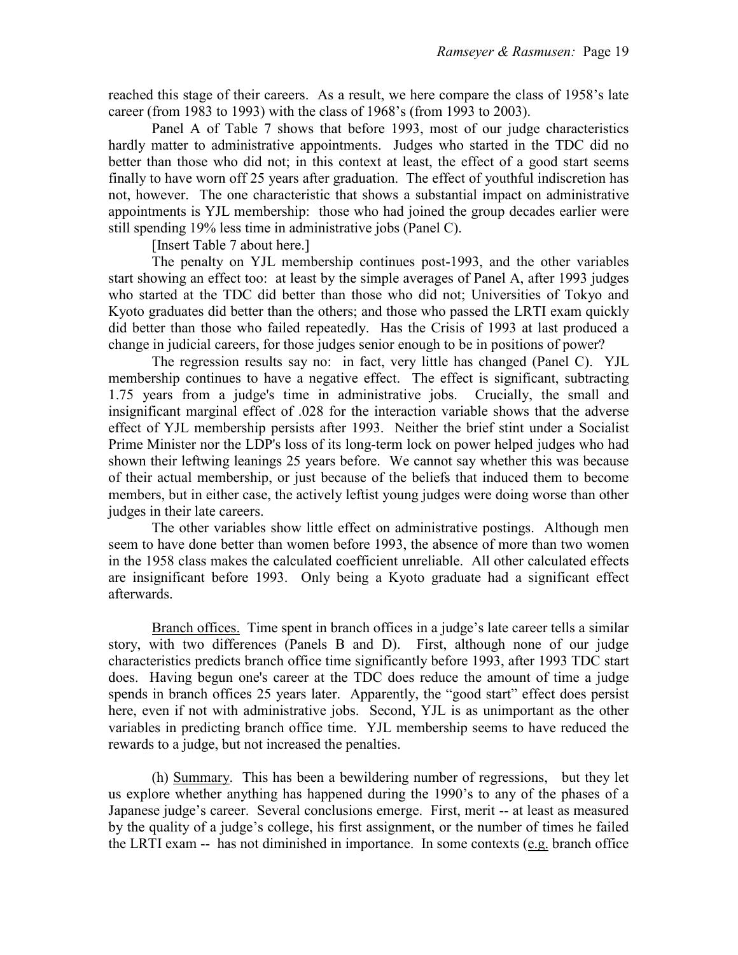reached this stage of their careers. As a result, we here compare the class of 1958's late career (from 1983 to 1993) with the class of 1968's (from 1993 to 2003).

 Panel A of Table 7 shows that before 1993, most of our judge characteristics hardly matter to administrative appointments. Judges who started in the TDC did no better than those who did not; in this context at least, the effect of a good start seems finally to have worn off 25 years after graduation. The effect of youthful indiscretion has not, however. The one characteristic that shows a substantial impact on administrative appointments is YJL membership: those who had joined the group decades earlier were still spending 19% less time in administrative jobs (Panel C).

[Insert Table 7 about here.]

 The penalty on YJL membership continues post-1993, and the other variables start showing an effect too: at least by the simple averages of Panel A, after 1993 judges who started at the TDC did better than those who did not; Universities of Tokyo and Kyoto graduates did better than the others; and those who passed the LRTI exam quickly did better than those who failed repeatedly. Has the Crisis of 1993 at last produced a change in judicial careers, for those judges senior enough to be in positions of power?

 The regression results say no: in fact, very little has changed (Panel C). YJL membership continues to have a negative effect. The effect is significant, subtracting 1.75 years from a judge's time in administrative jobs. Crucially, the small and insignificant marginal effect of .028 for the interaction variable shows that the adverse effect of YJL membership persists after 1993. Neither the brief stint under a Socialist Prime Minister nor the LDP's loss of its long-term lock on power helped judges who had shown their leftwing leanings 25 years before. We cannot say whether this was because of their actual membership, or just because of the beliefs that induced them to become members, but in either case, the actively leftist young judges were doing worse than other judges in their late careers.

 The other variables show little effect on administrative postings. Although men seem to have done better than women before 1993, the absence of more than two women in the 1958 class makes the calculated coefficient unreliable. All other calculated effects are insignificant before 1993. Only being a Kyoto graduate had a significant effect afterwards.

 Branch offices. Time spent in branch offices in a judge's late career tells a similar story, with two differences (Panels B and D). First, although none of our judge characteristics predicts branch office time significantly before 1993, after 1993 TDC start does. Having begun one's career at the TDC does reduce the amount of time a judge spends in branch offices 25 years later. Apparently, the "good start" effect does persist here, even if not with administrative jobs. Second, YJL is as unimportant as the other variables in predicting branch office time. YJL membership seems to have reduced the rewards to a judge, but not increased the penalties.

 (h) Summary. This has been a bewildering number of regressions, but they let us explore whether anything has happened during the 1990's to any of the phases of a Japanese judge's career. Several conclusions emerge. First, merit -- at least as measured by the quality of a judge's college, his first assignment, or the number of times he failed the LRTI exam -- has not diminished in importance. In some contexts (e.g. branch office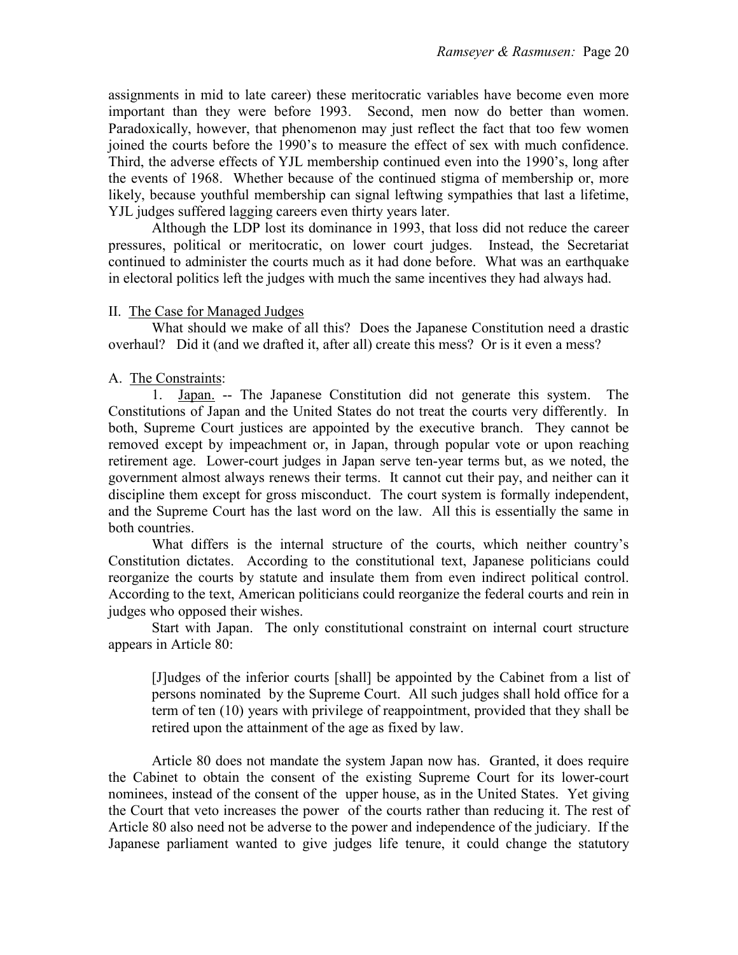assignments in mid to late career) these meritocratic variables have become even more important than they were before 1993. Second, men now do better than women. Paradoxically, however, that phenomenon may just reflect the fact that too few women joined the courts before the 1990's to measure the effect of sex with much confidence. Third, the adverse effects of YJL membership continued even into the 1990's, long after the events of 1968. Whether because of the continued stigma of membership or, more likely, because youthful membership can signal leftwing sympathies that last a lifetime, YJL judges suffered lagging careers even thirty years later.

 Although the LDP lost its dominance in 1993, that loss did not reduce the career pressures, political or meritocratic, on lower court judges. Instead, the Secretariat continued to administer the courts much as it had done before. What was an earthquake in electoral politics left the judges with much the same incentives they had always had.

# II. The Case for Managed Judges

 What should we make of all this? Does the Japanese Constitution need a drastic overhaul? Did it (and we drafted it, after all) create this mess? Or is it even a mess?

# A. The Constraints:

1. Japan. -- The Japanese Constitution did not generate this system. The Constitutions of Japan and the United States do not treat the courts very differently. In both, Supreme Court justices are appointed by the executive branch. They cannot be removed except by impeachment or, in Japan, through popular vote or upon reaching retirement age. Lower-court judges in Japan serve ten-year terms but, as we noted, the government almost always renews their terms. It cannot cut their pay, and neither can it discipline them except for gross misconduct. The court system is formally independent, and the Supreme Court has the last word on the law. All this is essentially the same in both countries.

What differs is the internal structure of the courts, which neither country's Constitution dictates. According to the constitutional text, Japanese politicians could reorganize the courts by statute and insulate them from even indirect political control. According to the text, American politicians could reorganize the federal courts and rein in judges who opposed their wishes.

Start with Japan. The only constitutional constraint on internal court structure appears in Article 80:

[J]udges of the inferior courts [shall] be appointed by the Cabinet from a list of persons nominated by the Supreme Court. All such judges shall hold office for a term of ten (10) years with privilege of reappointment, provided that they shall be retired upon the attainment of the age as fixed by law.

Article 80 does not mandate the system Japan now has. Granted, it does require the Cabinet to obtain the consent of the existing Supreme Court for its lower-court nominees, instead of the consent of the upper house, as in the United States. Yet giving the Court that veto increases the power of the courts rather than reducing it. The rest of Article 80 also need not be adverse to the power and independence of the judiciary. If the Japanese parliament wanted to give judges life tenure, it could change the statutory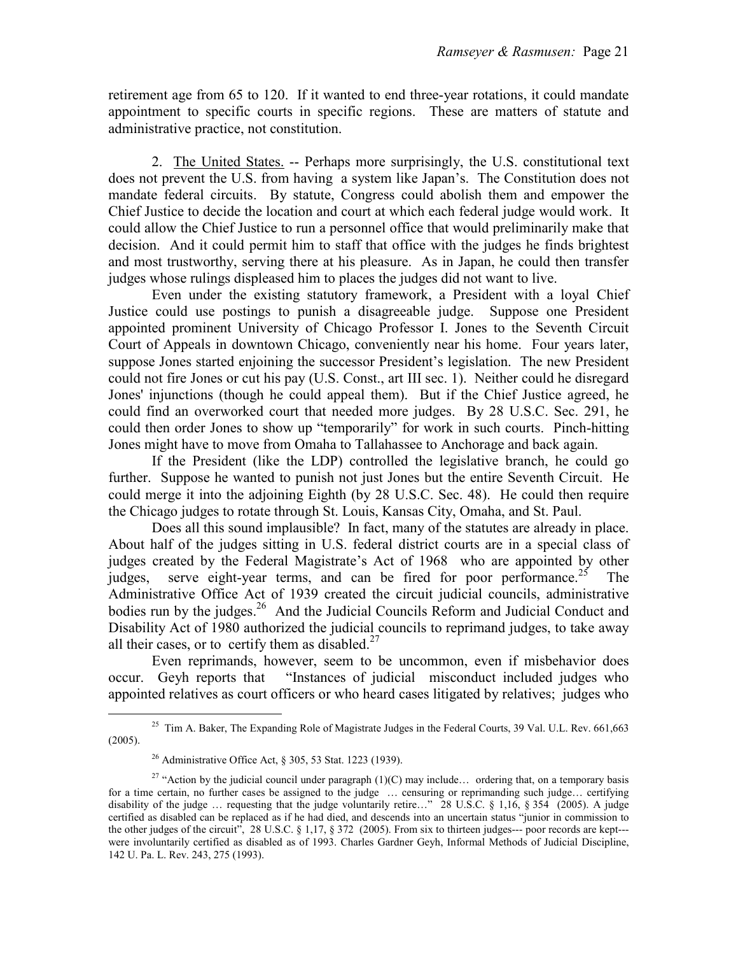retirement age from 65 to 120. If it wanted to end three-year rotations, it could mandate appointment to specific courts in specific regions. These are matters of statute and administrative practice, not constitution.

2. The United States. -- Perhaps more surprisingly, the U.S. constitutional text does not prevent the U.S. from having a system like Japan's. The Constitution does not mandate federal circuits. By statute, Congress could abolish them and empower the Chief Justice to decide the location and court at which each federal judge would work. It could allow the Chief Justice to run a personnel office that would preliminarily make that decision. And it could permit him to staff that office with the judges he finds brightest and most trustworthy, serving there at his pleasure. As in Japan, he could then transfer judges whose rulings displeased him to places the judges did not want to live.

 Even under the existing statutory framework, a President with a loyal Chief Justice could use postings to punish a disagreeable judge. Suppose one President appointed prominent University of Chicago Professor I. Jones to the Seventh Circuit Court of Appeals in downtown Chicago, conveniently near his home. Four years later, suppose Jones started enjoining the successor President's legislation. The new President could not fire Jones or cut his pay (U.S. Const., art III sec. 1). Neither could he disregard Jones' injunctions (though he could appeal them). But if the Chief Justice agreed, he could find an overworked court that needed more judges. By 28 U.S.C. Sec. 291, he could then order Jones to show up "temporarily" for work in such courts. Pinch-hitting Jones might have to move from Omaha to Tallahassee to Anchorage and back again.

 If the President (like the LDP) controlled the legislative branch, he could go further. Suppose he wanted to punish not just Jones but the entire Seventh Circuit. He could merge it into the adjoining Eighth (by 28 U.S.C. Sec. 48). He could then require the Chicago judges to rotate through St. Louis, Kansas City, Omaha, and St. Paul.

 Does all this sound implausible? In fact, many of the statutes are already in place. About half of the judges sitting in U.S. federal district courts are in a special class of judges created by the Federal Magistrate's Act of 1968 who are appointed by other judges, serve eight-year terms, and can be fired for poor performance.<sup>25</sup> The Administrative Office Act of 1939 created the circuit judicial councils, administrative bodies run by the judges.<sup>26</sup> And the Judicial Councils Reform and Judicial Conduct and Disability Act of 1980 authorized the judicial councils to reprimand judges, to take away all their cases, or to certify them as disabled. $27$ 

 Even reprimands, however, seem to be uncommon, even if misbehavior does occur. Geyh reports that "Instances of judicial misconduct included judges who appointed relatives as court officers or who heard cases litigated by relatives; judges who

<sup>&</sup>lt;sup>25</sup> Tim A. Baker, The Expanding Role of Magistrate Judges in the Federal Courts,  $39$  Val. U.L. Rev. 661,663 (2005).

<sup>26</sup> Administrative Office Act, § 305, 53 Stat. 1223 (1939).

<sup>&</sup>lt;sup>27</sup> "Action by the judicial council under paragraph  $(1)(C)$  may include... ordering that, on a temporary basis for a time certain, no further cases be assigned to the judge ... censuring or reprimanding such judge... certifying disability of the judge … requesting that the judge voluntarily retire…" 28 U.S.C. § 1,16, § 354 (2005). A judge certified as disabled can be replaced as if he had died, and descends into an uncertain status "junior in commission to the other judges of the circuit", 28 U.S.C. § 1,17, § 372 (2005). From six to thirteen judges--- poor records are kept--were involuntarily certified as disabled as of 1993. Charles Gardner Geyh, Informal Methods of Judicial Discipline, 142 U. Pa. L. Rev. 243, 275 (1993).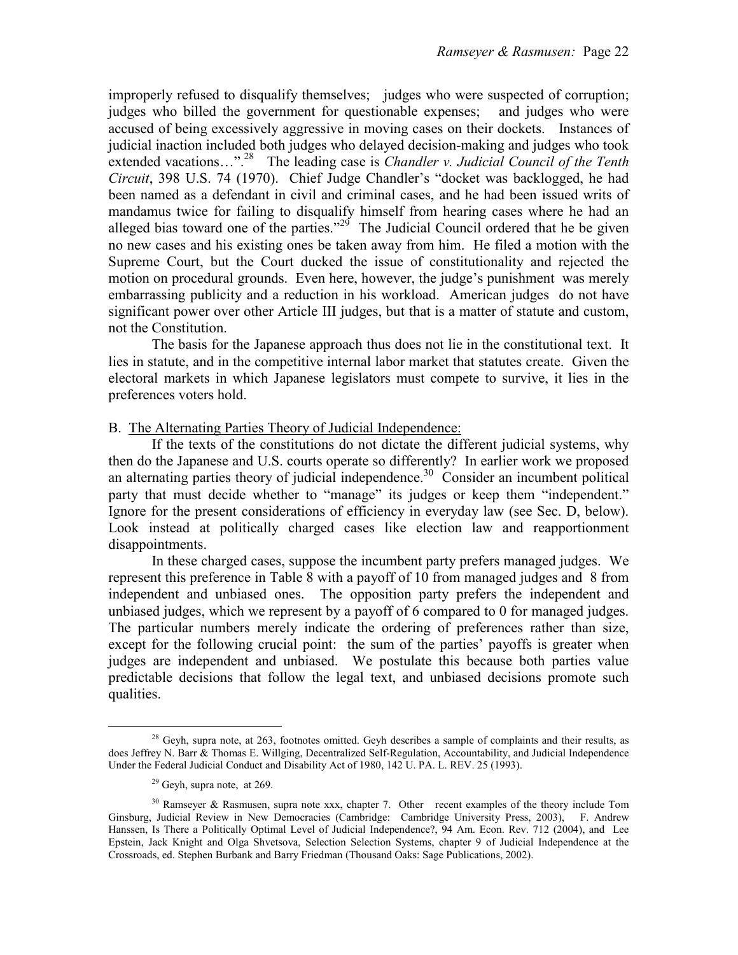improperly refused to disqualify themselves; judges who were suspected of corruption; judges who billed the government for questionable expenses; and judges who were accused of being excessively aggressive in moving cases on their dockets. Instances of judicial inaction included both judges who delayed decision-making and judges who took extended vacations…".<sup>28</sup> The leading case is *Chandler v. Judicial Council of the Tenth* Circuit, 398 U.S. 74 (1970). Chief Judge Chandler's "docket was backlogged, he had been named as a defendant in civil and criminal cases, and he had been issued writs of mandamus twice for failing to disqualify himself from hearing cases where he had an alleged bias toward one of the parties."<sup>29</sup> The Judicial Council ordered that he be given no new cases and his existing ones be taken away from him. He filed a motion with the Supreme Court, but the Court ducked the issue of constitutionality and rejected the motion on procedural grounds. Even here, however, the judge's punishment was merely embarrassing publicity and a reduction in his workload. American judges do not have significant power over other Article III judges, but that is a matter of statute and custom, not the Constitution.

The basis for the Japanese approach thus does not lie in the constitutional text. It lies in statute, and in the competitive internal labor market that statutes create. Given the electoral markets in which Japanese legislators must compete to survive, it lies in the preferences voters hold.

# B. The Alternating Parties Theory of Judicial Independence:

 If the texts of the constitutions do not dictate the different judicial systems, why then do the Japanese and U.S. courts operate so differently? In earlier work we proposed an alternating parties theory of judicial independence.<sup>30</sup> Consider an incumbent political party that must decide whether to "manage" its judges or keep them "independent." Ignore for the present considerations of efficiency in everyday law (see Sec. D, below). Look instead at politically charged cases like election law and reapportionment disappointments.

 In these charged cases, suppose the incumbent party prefers managed judges. We represent this preference in Table 8 with a payoff of 10 from managed judges and 8 from independent and unbiased ones. The opposition party prefers the independent and unbiased judges, which we represent by a payoff of 6 compared to 0 for managed judges. The particular numbers merely indicate the ordering of preferences rather than size, except for the following crucial point: the sum of the parties' payoffs is greater when judges are independent and unbiased. We postulate this because both parties value predictable decisions that follow the legal text, and unbiased decisions promote such qualities.

<sup>&</sup>lt;sup>28</sup> Geyh, supra note, at 263, footnotes omitted. Geyh describes a sample of complaints and their results, as does Jeffrey N. Barr & Thomas E. Willging, Decentralized Self-Regulation, Accountability, and Judicial Independence Under the Federal Judicial Conduct and Disability Act of 1980, 142 U. PA. L. REV. 25 (1993).

 $29$  Geyh, supra note, at 269.

<sup>&</sup>lt;sup>30</sup> Ramseyer & Rasmusen, supra note xxx, chapter 7. Other recent examples of the theory include Tom Ginsburg, Judicial Review in New Democracies (Cambridge: Cambridge University Press, 2003), F. Andrew Hanssen, Is There a Politically Optimal Level of Judicial Independence?, 94 Am. Econ. Rev. 712 (2004), and Lee Epstein, Jack Knight and Olga Shvetsova, Selection Selection Systems, chapter 9 of Judicial Independence at the Crossroads, ed. Stephen Burbank and Barry Friedman (Thousand Oaks: Sage Publications, 2002).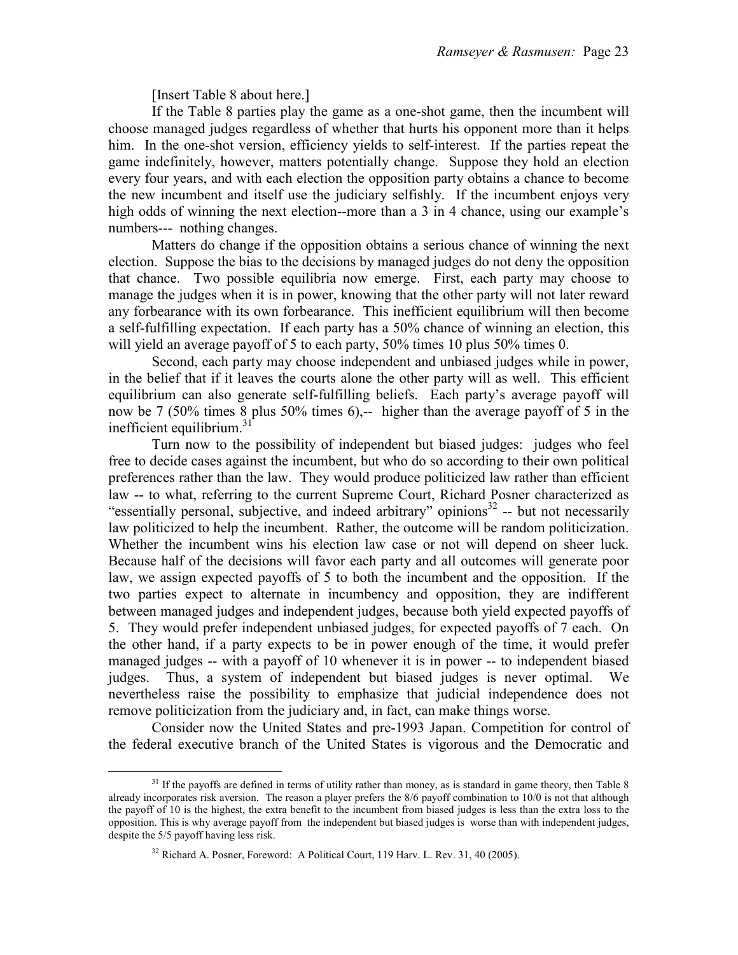[Insert Table 8 about here.]

 If the Table 8 parties play the game as a one-shot game, then the incumbent will choose managed judges regardless of whether that hurts his opponent more than it helps him. In the one-shot version, efficiency yields to self-interest. If the parties repeat the game indefinitely, however, matters potentially change. Suppose they hold an election every four years, and with each election the opposition party obtains a chance to become the new incumbent and itself use the judiciary selfishly. If the incumbent enjoys very high odds of winning the next election--more than a 3 in 4 chance, using our example's numbers--- nothing changes.

 Matters do change if the opposition obtains a serious chance of winning the next election. Suppose the bias to the decisions by managed judges do not deny the opposition that chance. Two possible equilibria now emerge. First, each party may choose to manage the judges when it is in power, knowing that the other party will not later reward any forbearance with its own forbearance. This inefficient equilibrium will then become a self-fulfilling expectation. If each party has a 50% chance of winning an election, this will yield an average payoff of 5 to each party, 50% times 10 plus 50% times 0.

 Second, each party may choose independent and unbiased judges while in power, in the belief that if it leaves the courts alone the other party will as well. This efficient equilibrium can also generate self-fulfilling beliefs. Each party's average payoff will now be 7 (50% times 8 plus 50% times 6),-- higher than the average payoff of 5 in the inefficient equilibrium.<sup>31</sup>

 Turn now to the possibility of independent but biased judges: judges who feel free to decide cases against the incumbent, but who do so according to their own political preferences rather than the law. They would produce politicized law rather than efficient law -- to what, referring to the current Supreme Court, Richard Posner characterized as "essentially personal, subjective, and indeed arbitrary" opinions $32$  -- but not necessarily law politicized to help the incumbent. Rather, the outcome will be random politicization. Whether the incumbent wins his election law case or not will depend on sheer luck. Because half of the decisions will favor each party and all outcomes will generate poor law, we assign expected payoffs of 5 to both the incumbent and the opposition. If the two parties expect to alternate in incumbency and opposition, they are indifferent between managed judges and independent judges, because both yield expected payoffs of 5. They would prefer independent unbiased judges, for expected payoffs of 7 each. On the other hand, if a party expects to be in power enough of the time, it would prefer managed judges -- with a payoff of 10 whenever it is in power -- to independent biased judges. Thus, a system of independent but biased judges is never optimal. We nevertheless raise the possibility to emphasize that judicial independence does not remove politicization from the judiciary and, in fact, can make things worse.

 Consider now the United States and pre-1993 Japan. Competition for control of the federal executive branch of the United States is vigorous and the Democratic and

e<br>S

 $31$  If the payoffs are defined in terms of utility rather than money, as is standard in game theory, then Table 8 already incorporates risk aversion. The reason a player prefers the 8/6 payoff combination to 10/0 is not that although the payoff of 10 is the highest, the extra benefit to the incumbent from biased judges is less than the extra loss to the opposition. This is why average payoff from the independent but biased judges is worse than with independent judges, despite the 5/5 payoff having less risk.

<sup>32</sup> Richard A. Posner, Foreword: A Political Court, 119 Harv. L. Rev. 31, 40 (2005).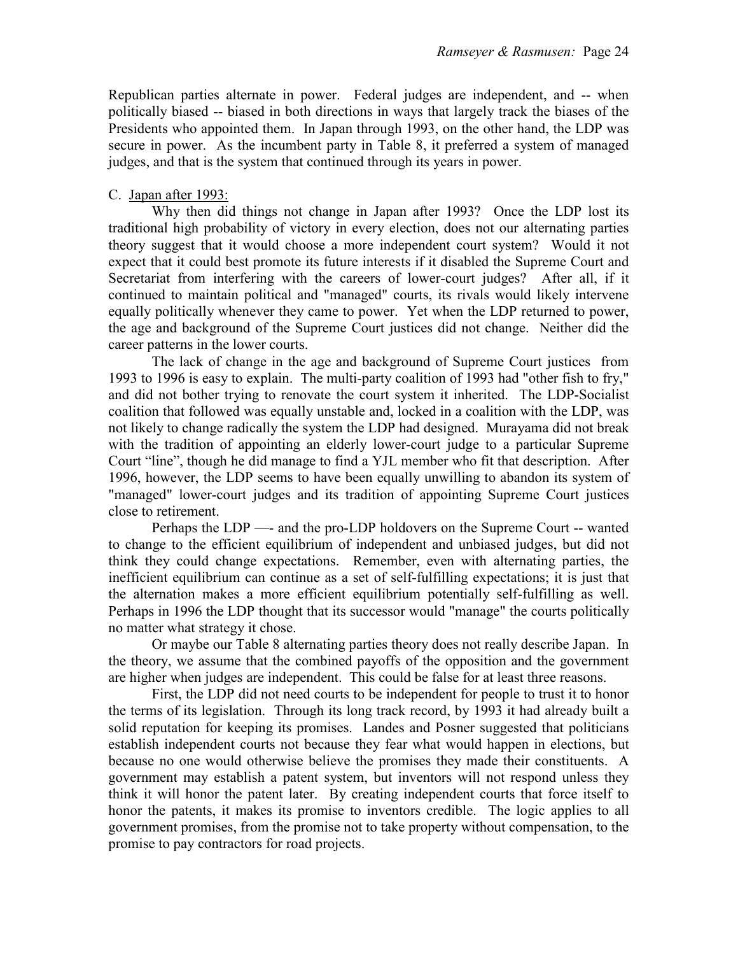Republican parties alternate in power. Federal judges are independent, and -- when politically biased -- biased in both directions in ways that largely track the biases of the Presidents who appointed them. In Japan through 1993, on the other hand, the LDP was secure in power. As the incumbent party in Table 8, it preferred a system of managed judges, and that is the system that continued through its years in power.

# C. Japan after 1993:

 Why then did things not change in Japan after 1993? Once the LDP lost its traditional high probability of victory in every election, does not our alternating parties theory suggest that it would choose a more independent court system? Would it not expect that it could best promote its future interests if it disabled the Supreme Court and Secretariat from interfering with the careers of lower-court judges? After all, if it continued to maintain political and "managed" courts, its rivals would likely intervene equally politically whenever they came to power. Yet when the LDP returned to power, the age and background of the Supreme Court justices did not change. Neither did the career patterns in the lower courts.

 The lack of change in the age and background of Supreme Court justices from 1993 to 1996 is easy to explain. The multi-party coalition of 1993 had "other fish to fry," and did not bother trying to renovate the court system it inherited. The LDP-Socialist coalition that followed was equally unstable and, locked in a coalition with the LDP, was not likely to change radically the system the LDP had designed. Murayama did not break with the tradition of appointing an elderly lower-court judge to a particular Supreme Court "line", though he did manage to find a YJL member who fit that description. After 1996, however, the LDP seems to have been equally unwilling to abandon its system of "managed" lower-court judges and its tradition of appointing Supreme Court justices close to retirement.

 Perhaps the LDP —- and the pro-LDP holdovers on the Supreme Court -- wanted to change to the efficient equilibrium of independent and unbiased judges, but did not think they could change expectations. Remember, even with alternating parties, the inefficient equilibrium can continue as a set of self-fulfilling expectations; it is just that the alternation makes a more efficient equilibrium potentially self-fulfilling as well. Perhaps in 1996 the LDP thought that its successor would "manage" the courts politically no matter what strategy it chose.

 Or maybe our Table 8 alternating parties theory does not really describe Japan. In the theory, we assume that the combined payoffs of the opposition and the government are higher when judges are independent. This could be false for at least three reasons.

 First, the LDP did not need courts to be independent for people to trust it to honor the terms of its legislation. Through its long track record, by 1993 it had already built a solid reputation for keeping its promises. Landes and Posner suggested that politicians establish independent courts not because they fear what would happen in elections, but because no one would otherwise believe the promises they made their constituents. A government may establish a patent system, but inventors will not respond unless they think it will honor the patent later. By creating independent courts that force itself to honor the patents, it makes its promise to inventors credible. The logic applies to all government promises, from the promise not to take property without compensation, to the promise to pay contractors for road projects.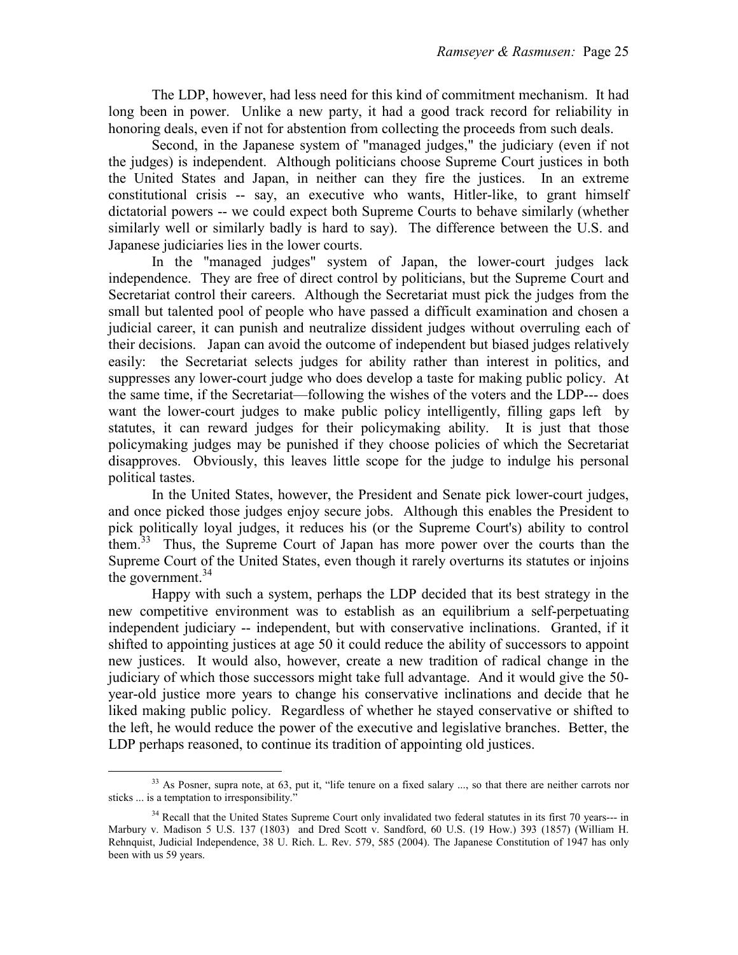The LDP, however, had less need for this kind of commitment mechanism. It had long been in power. Unlike a new party, it had a good track record for reliability in honoring deals, even if not for abstention from collecting the proceeds from such deals.

 Second, in the Japanese system of "managed judges," the judiciary (even if not the judges) is independent. Although politicians choose Supreme Court justices in both the United States and Japan, in neither can they fire the justices. In an extreme constitutional crisis -- say, an executive who wants, Hitler-like, to grant himself dictatorial powers -- we could expect both Supreme Courts to behave similarly (whether similarly well or similarly badly is hard to say). The difference between the U.S. and Japanese judiciaries lies in the lower courts.

In the "managed judges" system of Japan, the lower-court judges lack independence. They are free of direct control by politicians, but the Supreme Court and Secretariat control their careers. Although the Secretariat must pick the judges from the small but talented pool of people who have passed a difficult examination and chosen a judicial career, it can punish and neutralize dissident judges without overruling each of their decisions. Japan can avoid the outcome of independent but biased judges relatively easily: the Secretariat selects judges for ability rather than interest in politics, and suppresses any lower-court judge who does develop a taste for making public policy. At the same time, if the Secretariat—following the wishes of the voters and the LDP--- does want the lower-court judges to make public policy intelligently, filling gaps left by statutes, it can reward judges for their policymaking ability. It is just that those policymaking judges may be punished if they choose policies of which the Secretariat disapproves. Obviously, this leaves little scope for the judge to indulge his personal political tastes.

In the United States, however, the President and Senate pick lower-court judges, and once picked those judges enjoy secure jobs. Although this enables the President to pick politically loyal judges, it reduces his (or the Supreme Court's) ability to control them.<sup>33</sup> Thus, the Supreme Court of Japan has more power over the courts than the Supreme Court of the United States, even though it rarely overturns its statutes or injoins the government. $34$ 

Happy with such a system, perhaps the LDP decided that its best strategy in the new competitive environment was to establish as an equilibrium a self-perpetuating independent judiciary -- independent, but with conservative inclinations. Granted, if it shifted to appointing justices at age 50 it could reduce the ability of successors to appoint new justices. It would also, however, create a new tradition of radical change in the judiciary of which those successors might take full advantage. And it would give the 50 year-old justice more years to change his conservative inclinations and decide that he liked making public policy. Regardless of whether he stayed conservative or shifted to the left, he would reduce the power of the executive and legislative branches. Better, the LDP perhaps reasoned, to continue its tradition of appointing old justices.

e<br>S <sup>33</sup> As Posner, supra note, at 63, put it, "life tenure on a fixed salary ..., so that there are neither carrots nor sticks ... is a temptation to irresponsibility."

<sup>&</sup>lt;sup>34</sup> Recall that the United States Supreme Court only invalidated two federal statutes in its first 70 years--- in Marbury v. Madison 5 U.S. 137 (1803) and Dred Scott v. Sandford, 60 U.S. (19 How.) 393 (1857) (William H. Rehnquist, Judicial Independence, 38 U. Rich. L. Rev. 579, 585 (2004). The Japanese Constitution of 1947 has only been with us 59 years.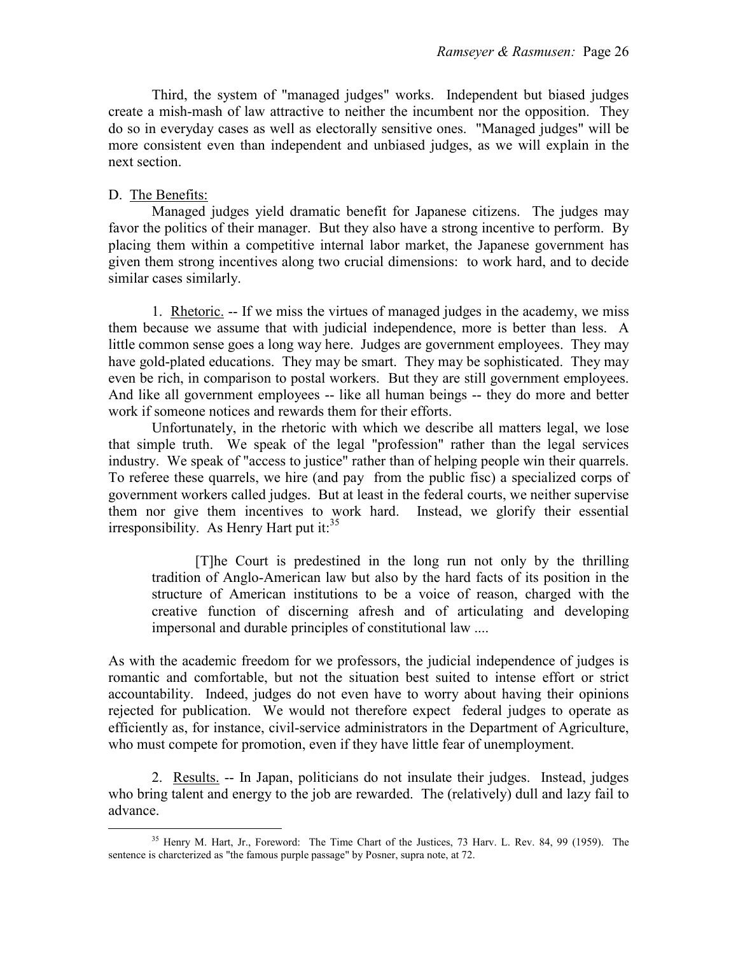Third, the system of "managed judges" works. Independent but biased judges create a mish-mash of law attractive to neither the incumbent nor the opposition. They do so in everyday cases as well as electorally sensitive ones. "Managed judges" will be more consistent even than independent and unbiased judges, as we will explain in the next section.

# D. The Benefits:

e<br>S

Managed judges yield dramatic benefit for Japanese citizens. The judges may favor the politics of their manager. But they also have a strong incentive to perform. By placing them within a competitive internal labor market, the Japanese government has given them strong incentives along two crucial dimensions: to work hard, and to decide similar cases similarly.

 1. Rhetoric. -- If we miss the virtues of managed judges in the academy, we miss them because we assume that with judicial independence, more is better than less. A little common sense goes a long way here. Judges are government employees. They may have gold-plated educations. They may be smart. They may be sophisticated. They may even be rich, in comparison to postal workers. But they are still government employees. And like all government employees -- like all human beings -- they do more and better work if someone notices and rewards them for their efforts.

 Unfortunately, in the rhetoric with which we describe all matters legal, we lose that simple truth. We speak of the legal "profession" rather than the legal services industry. We speak of "access to justice" rather than of helping people win their quarrels. To referee these quarrels, we hire (and pay from the public fisc) a specialized corps of government workers called judges. But at least in the federal courts, we neither supervise them nor give them incentives to work hard. Instead, we glorify their essential irresponsibility. As Henry Hart put it: $35$ 

 [T]he Court is predestined in the long run not only by the thrilling tradition of Anglo-American law but also by the hard facts of its position in the structure of American institutions to be a voice of reason, charged with the creative function of discerning afresh and of articulating and developing impersonal and durable principles of constitutional law ....

As with the academic freedom for we professors, the judicial independence of judges is romantic and comfortable, but not the situation best suited to intense effort or strict accountability. Indeed, judges do not even have to worry about having their opinions rejected for publication. We would not therefore expect federal judges to operate as efficiently as, for instance, civil-service administrators in the Department of Agriculture, who must compete for promotion, even if they have little fear of unemployment.

 2. Results. -- In Japan, politicians do not insulate their judges. Instead, judges who bring talent and energy to the job are rewarded. The (relatively) dull and lazy fail to advance.

<sup>35</sup> Henry M. Hart, Jr., Foreword: The Time Chart of the Justices, 73 Harv. L. Rev. 84, 99 (1959). The sentence is charcterized as "the famous purple passage" by Posner, supra note, at 72.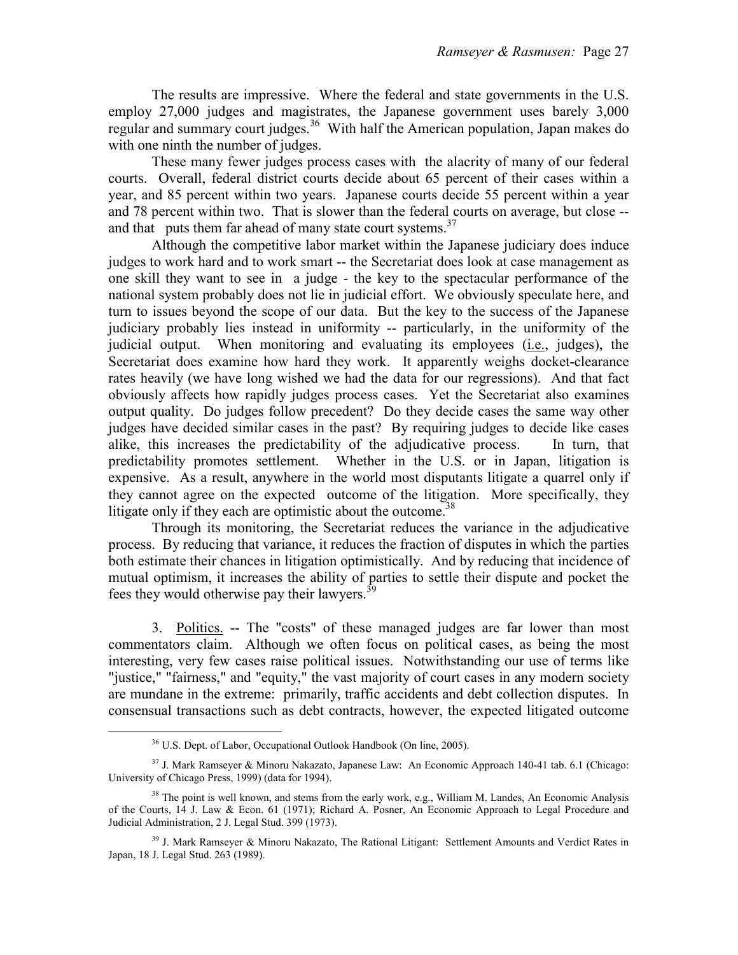The results are impressive. Where the federal and state governments in the U.S. employ 27,000 judges and magistrates, the Japanese government uses barely 3,000 regular and summary court judges.<sup>36</sup> With half the American population, Japan makes do with one ninth the number of judges.

 These many fewer judges process cases with the alacrity of many of our federal courts. Overall, federal district courts decide about 65 percent of their cases within a year, and 85 percent within two years. Japanese courts decide 55 percent within a year and 78 percent within two. That is slower than the federal courts on average, but close - and that puts them far ahead of many state court systems.<sup>37</sup>

 Although the competitive labor market within the Japanese judiciary does induce judges to work hard and to work smart -- the Secretariat does look at case management as one skill they want to see in a judge - the key to the spectacular performance of the national system probably does not lie in judicial effort. We obviously speculate here, and turn to issues beyond the scope of our data. But the key to the success of the Japanese judiciary probably lies instead in uniformity -- particularly, in the uniformity of the judicial output. When monitoring and evaluating its employees (i.e., judges), the Secretariat does examine how hard they work. It apparently weighs docket-clearance rates heavily (we have long wished we had the data for our regressions). And that fact obviously affects how rapidly judges process cases. Yet the Secretariat also examines output quality. Do judges follow precedent? Do they decide cases the same way other judges have decided similar cases in the past? By requiring judges to decide like cases alike, this increases the predictability of the adjudicative process. In turn, that predictability promotes settlement. Whether in the U.S. or in Japan, litigation is expensive. As a result, anywhere in the world most disputants litigate a quarrel only if they cannot agree on the expected outcome of the litigation. More specifically, they litigate only if they each are optimistic about the outcome.<sup>38</sup>

 Through its monitoring, the Secretariat reduces the variance in the adjudicative process. By reducing that variance, it reduces the fraction of disputes in which the parties both estimate their chances in litigation optimistically. And by reducing that incidence of mutual optimism, it increases the ability of parties to settle their dispute and pocket the fees they would otherwise pay their lawyers.<sup>39</sup>

 3. Politics. -- The "costs" of these managed judges are far lower than most commentators claim. Although we often focus on political cases, as being the most interesting, very few cases raise political issues. Notwithstanding our use of terms like "justice," "fairness," and "equity," the vast majority of court cases in any modern society are mundane in the extreme: primarily, traffic accidents and debt collection disputes. In consensual transactions such as debt contracts, however, the expected litigated outcome

e<br>S

<sup>36</sup> U.S. Dept. of Labor, Occupational Outlook Handbook (On line, 2005).

<sup>37</sup> J. Mark Ramseyer & Minoru Nakazato, Japanese Law: An Economic Approach 140-41 tab. 6.1 (Chicago: University of Chicago Press, 1999) (data for 1994).

 $38$  The point is well known, and stems from the early work, e.g., William M. Landes, An Economic Analysis of the Courts, 14 J. Law & Econ. 61 (1971); Richard A. Posner, An Economic Approach to Legal Procedure and Judicial Administration, 2 J. Legal Stud. 399 (1973).

<sup>&</sup>lt;sup>39</sup> J. Mark Ramsever & Minoru Nakazato, The Rational Litigant: Settlement Amounts and Verdict Rates in Japan, 18 J. Legal Stud. 263 (1989).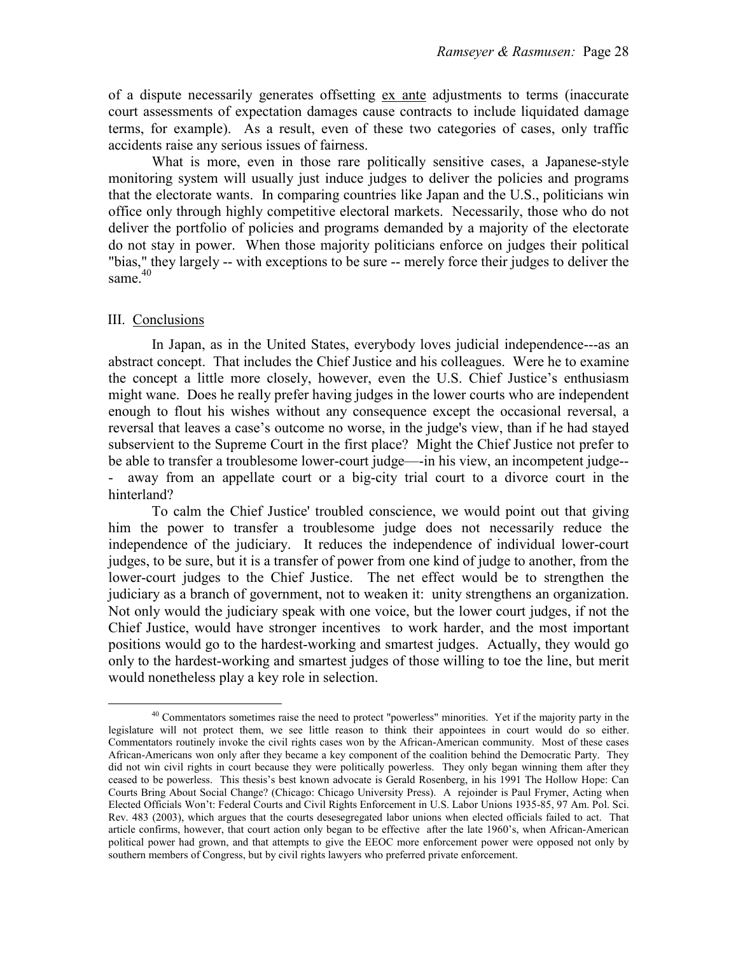of a dispute necessarily generates offsetting ex ante adjustments to terms (inaccurate court assessments of expectation damages cause contracts to include liquidated damage terms, for example). As a result, even of these two categories of cases, only traffic accidents raise any serious issues of fairness.

 What is more, even in those rare politically sensitive cases, a Japanese-style monitoring system will usually just induce judges to deliver the policies and programs that the electorate wants. In comparing countries like Japan and the U.S., politicians win office only through highly competitive electoral markets. Necessarily, those who do not deliver the portfolio of policies and programs demanded by a majority of the electorate do not stay in power. When those majority politicians enforce on judges their political "bias," they largely -- with exceptions to be sure -- merely force their judges to deliver the same. $40$ 

# III. Conclusions

e<br>S

 In Japan, as in the United States, everybody loves judicial independence---as an abstract concept. That includes the Chief Justice and his colleagues. Were he to examine the concept a little more closely, however, even the U.S. Chief Justice's enthusiasm might wane. Does he really prefer having judges in the lower courts who are independent enough to flout his wishes without any consequence except the occasional reversal, a reversal that leaves a case's outcome no worse, in the judge's view, than if he had stayed subservient to the Supreme Court in the first place? Might the Chief Justice not prefer to be able to transfer a troublesome lower-court judge—-in his view, an incompetent judge-- - away from an appellate court or a big-city trial court to a divorce court in the hinterland?

 To calm the Chief Justice' troubled conscience, we would point out that giving him the power to transfer a troublesome judge does not necessarily reduce the independence of the judiciary. It reduces the independence of individual lower-court judges, to be sure, but it is a transfer of power from one kind of judge to another, from the lower-court judges to the Chief Justice. The net effect would be to strengthen the judiciary as a branch of government, not to weaken it: unity strengthens an organization. Not only would the judiciary speak with one voice, but the lower court judges, if not the Chief Justice, would have stronger incentives to work harder, and the most important positions would go to the hardest-working and smartest judges. Actually, they would go only to the hardest-working and smartest judges of those willing to toe the line, but merit would nonetheless play a key role in selection.

<sup>&</sup>lt;sup>40</sup> Commentators sometimes raise the need to protect "powerless" minorities. Yet if the majority party in the legislature will not protect them, we see little reason to think their appointees in court would do so either. Commentators routinely invoke the civil rights cases won by the African-American community. Most of these cases African-Americans won only after they became a key component of the coalition behind the Democratic Party. They did not win civil rights in court because they were politically powerless. They only began winning them after they ceased to be powerless. This thesis's best known advocate is Gerald Rosenberg, in his 1991 The Hollow Hope: Can Courts Bring About Social Change? (Chicago: Chicago University Press). A rejoinder is Paul Frymer, Acting when Elected Officials Won't: Federal Courts and Civil Rights Enforcement in U.S. Labor Unions 1935-85, 97 Am. Pol. Sci. Rev. 483 (2003), which argues that the courts desesegregated labor unions when elected officials failed to act. That article confirms, however, that court action only began to be effective after the late 1960's, when African-American political power had grown, and that attempts to give the EEOC more enforcement power were opposed not only by southern members of Congress, but by civil rights lawyers who preferred private enforcement.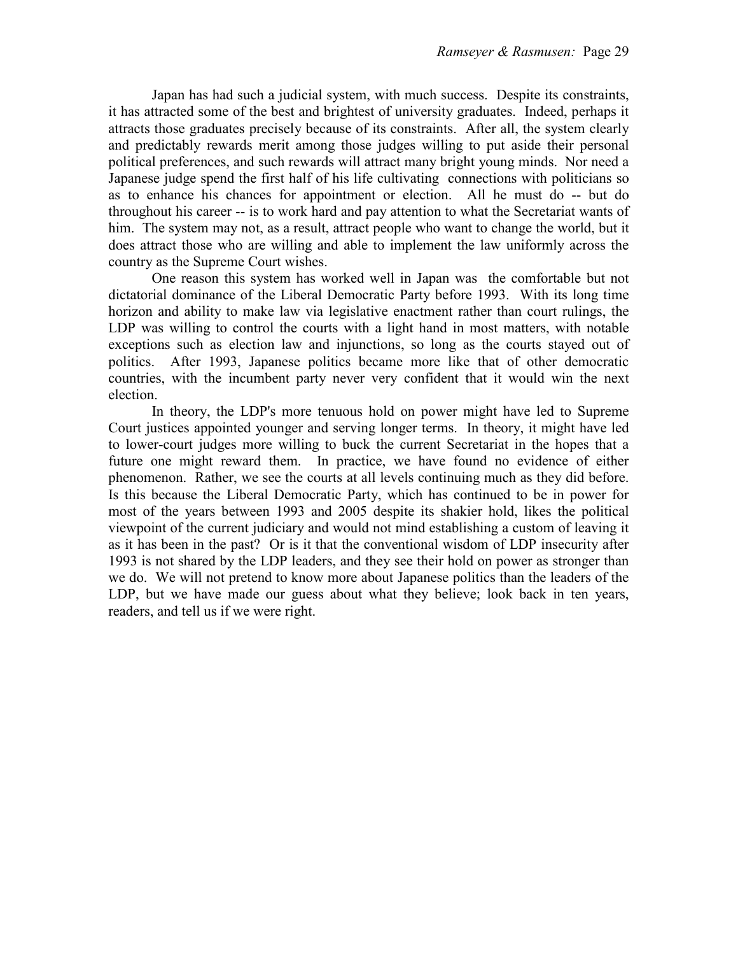Japan has had such a judicial system, with much success. Despite its constraints, it has attracted some of the best and brightest of university graduates. Indeed, perhaps it attracts those graduates precisely because of its constraints. After all, the system clearly and predictably rewards merit among those judges willing to put aside their personal political preferences, and such rewards will attract many bright young minds. Nor need a Japanese judge spend the first half of his life cultivating connections with politicians so as to enhance his chances for appointment or election. All he must do -- but do throughout his career -- is to work hard and pay attention to what the Secretariat wants of him. The system may not, as a result, attract people who want to change the world, but it does attract those who are willing and able to implement the law uniformly across the country as the Supreme Court wishes.

 One reason this system has worked well in Japan was the comfortable but not dictatorial dominance of the Liberal Democratic Party before 1993. With its long time horizon and ability to make law via legislative enactment rather than court rulings, the LDP was willing to control the courts with a light hand in most matters, with notable exceptions such as election law and injunctions, so long as the courts stayed out of politics. After 1993, Japanese politics became more like that of other democratic countries, with the incumbent party never very confident that it would win the next election.

 In theory, the LDP's more tenuous hold on power might have led to Supreme Court justices appointed younger and serving longer terms. In theory, it might have led to lower-court judges more willing to buck the current Secretariat in the hopes that a future one might reward them. In practice, we have found no evidence of either phenomenon. Rather, we see the courts at all levels continuing much as they did before. Is this because the Liberal Democratic Party, which has continued to be in power for most of the years between 1993 and 2005 despite its shakier hold, likes the political viewpoint of the current judiciary and would not mind establishing a custom of leaving it as it has been in the past? Or is it that the conventional wisdom of LDP insecurity after 1993 is not shared by the LDP leaders, and they see their hold on power as stronger than we do. We will not pretend to know more about Japanese politics than the leaders of the LDP, but we have made our guess about what they believe; look back in ten years, readers, and tell us if we were right.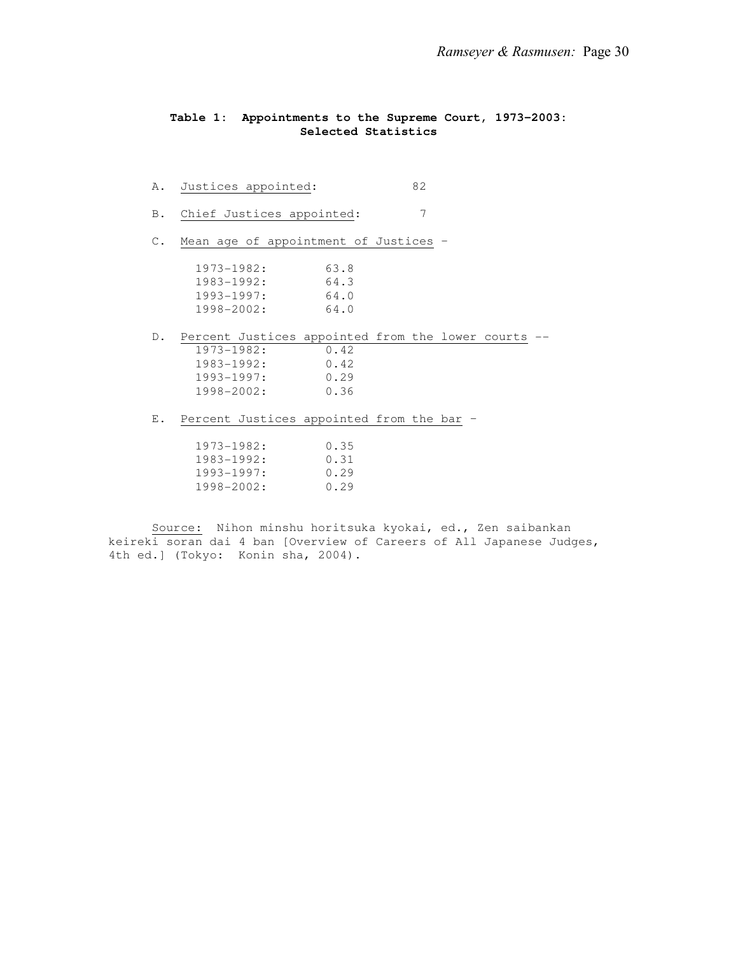## **Table 1: Appointments to the Supreme Court, 1973-2003: Selected Statistics**

| Α.             | Justices appointed:                                    |      | 82 |  |  |
|----------------|--------------------------------------------------------|------|----|--|--|
| B.             | Chief Justices appointed:                              |      | 7  |  |  |
| $C_{\infty}$   | Mean age of appointment of Justices -                  |      |    |  |  |
|                | $1973 - 1982: 63.8$                                    |      |    |  |  |
|                | $1983 - 1992: 64.3$                                    |      |    |  |  |
|                | $1993 - 1997$ : 64.0                                   |      |    |  |  |
|                | $1998 - 2002$ : 64.0                                   |      |    |  |  |
|                |                                                        |      |    |  |  |
|                | D. Percent Justices appointed from the lower courts -- |      |    |  |  |
|                | $1973 - 1982: 0.42$                                    |      |    |  |  |
|                | $1983 - 1992:$                                         | 0.42 |    |  |  |
|                | $1993 - 1997$ : 0.29                                   |      |    |  |  |
|                | 1998-2002: 0.36                                        |      |    |  |  |
|                |                                                        |      |    |  |  |
| $E_{\rm{tot}}$ | Percent Justices appointed from the bar -              |      |    |  |  |
|                |                                                        |      |    |  |  |
|                | $1973 - 1982: 0.35$                                    |      |    |  |  |
|                | 1983-1992; 0.31                                        |      |    |  |  |
|                | $1993 - 1997:$                                         | 0.29 |    |  |  |
|                | 1998-2002:                                             | 0.29 |    |  |  |

 Source: Nihon minshu horitsuka kyokai, ed., Zen saibankan keireki soran dai 4 ban [Overview of Careers of All Japanese Judges, 4th ed.] (Tokyo: Konin sha, 2004).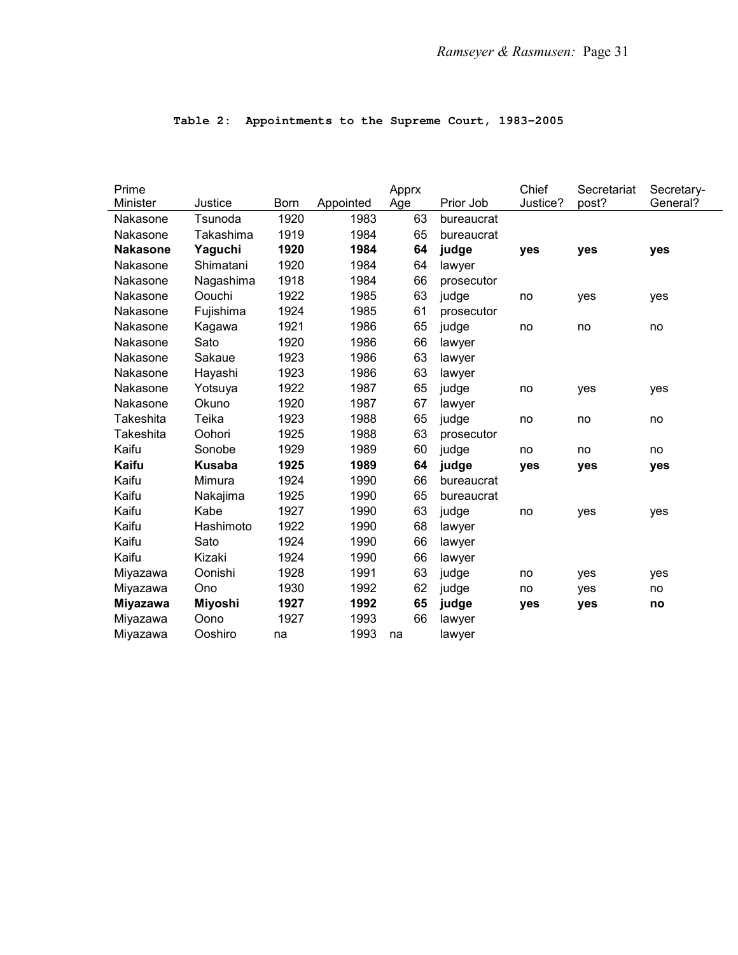| Prime           |                  |             |           | Apprx |            | Chief    | Secretariat | Secretary- |
|-----------------|------------------|-------------|-----------|-------|------------|----------|-------------|------------|
| Minister        | Justice          | <b>Born</b> | Appointed | Age   | Prior Job  | Justice? | post?       | General?   |
| Nakasone        | Tsunoda          | 1920        | 1983      | 63    | bureaucrat |          |             |            |
| Nakasone        | <b>Takashima</b> | 1919        | 1984      | 65    | bureaucrat |          |             |            |
| <b>Nakasone</b> | Yaguchi          | 1920        | 1984      | 64    | judge      | yes      | yes         | yes        |
| Nakasone        | Shimatani        | 1920        | 1984      | 64    | lawyer     |          |             |            |
| Nakasone        | Nagashima        | 1918        | 1984      | 66    | prosecutor |          |             |            |
| Nakasone        | Oouchi           | 1922        | 1985      | 63    | judge      | no       | yes         | yes        |
| Nakasone        | Fujishima        | 1924        | 1985      | 61    | prosecutor |          |             |            |
| Nakasone        | Kagawa           | 1921        | 1986      | 65    | judge      | no       | no          | no         |
| Nakasone        | Sato             | 1920        | 1986      | 66    | lawyer     |          |             |            |
| Nakasone        | Sakaue           | 1923        | 1986      | 63    | lawyer     |          |             |            |
| Nakasone        | Hayashi          | 1923        | 1986      | 63    | lawyer     |          |             |            |
| Nakasone        | Yotsuya          | 1922        | 1987      | 65    | judge      | no       | yes         | yes        |
| Nakasone        | Okuno            | 1920        | 1987      | 67    | lawyer     |          |             |            |
| Takeshita       | Teika            | 1923        | 1988      | 65    | judge      | no       | no          | no         |
| Takeshita       | Oohori           | 1925        | 1988      | 63    | prosecutor |          |             |            |
| Kaifu           | Sonobe           | 1929        | 1989      | 60    | judge      | no       | no          | no         |
| Kaifu           | <b>Kusaba</b>    | 1925        | 1989      | 64    | judge      | yes      | yes         | yes        |
| Kaifu           | Mimura           | 1924        | 1990      | 66    | bureaucrat |          |             |            |
| Kaifu           | Nakajima         | 1925        | 1990      | 65    | bureaucrat |          |             |            |
| Kaifu           | Kabe             | 1927        | 1990      | 63    | judge      | no       | yes         | yes        |
| Kaifu           | Hashimoto        | 1922        | 1990      | 68    | lawyer     |          |             |            |
| Kaifu           | Sato             | 1924        | 1990      | 66    | lawyer     |          |             |            |
| Kaifu           | Kizaki           | 1924        | 1990      | 66    | lawyer     |          |             |            |
| Miyazawa        | Oonishi          | 1928        | 1991      | 63    | judge      | no       | yes         | yes        |
| Miyazawa        | Ono              | 1930        | 1992      | 62    | judge      | no       | yes         | no         |
| <b>Miyazawa</b> | Miyoshi          | 1927        | 1992      | 65    | judge      | yes      | yes         | no         |
| Miyazawa        | Oono             | 1927        | 1993      | 66    | lawyer     |          |             |            |
| Miyazawa        | Ooshiro          | na          | 1993      | na    | lawyer     |          |             |            |

# **Table 2: Appointments to the Supreme Court, 1983-2005**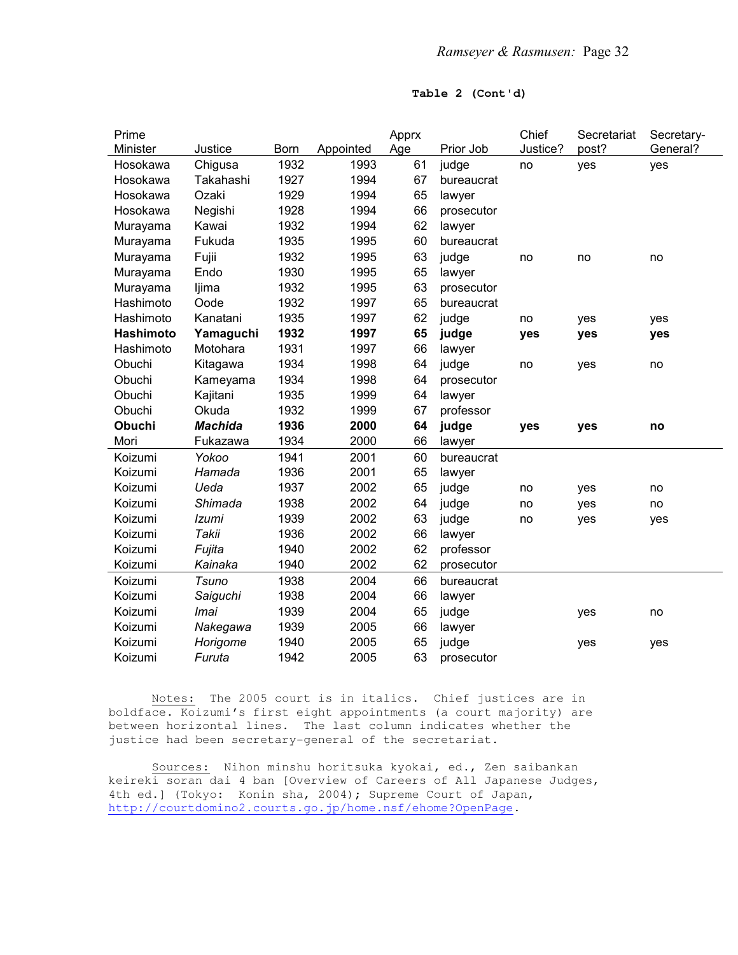## **Table 2 (Cont'd)**

| Prime         |                |             |           | Apprx |            | Chief    | Secretariat | Secretary- |
|---------------|----------------|-------------|-----------|-------|------------|----------|-------------|------------|
| Minister      | Justice        | <b>Born</b> | Appointed | Age   | Prior Job  | Justice? | post?       | General?   |
| Hosokawa      | Chigusa        | 1932        | 1993      | 61    | judge      | no       | yes         | yes        |
| Hosokawa      | Takahashi      | 1927        | 1994      | 67    | bureaucrat |          |             |            |
| Hosokawa      | Ozaki          | 1929        | 1994      | 65    | lawyer     |          |             |            |
| Hosokawa      | Negishi        | 1928        | 1994      | 66    | prosecutor |          |             |            |
| Murayama      | Kawai          | 1932        | 1994      | 62    | lawyer     |          |             |            |
| Murayama      | Fukuda         | 1935        | 1995      | 60    | bureaucrat |          |             |            |
| Murayama      | Fujii          | 1932        | 1995      | 63    | judge      | no       | no          | no         |
| Murayama      | Endo           | 1930        | 1995      | 65    | lawyer     |          |             |            |
| Murayama      | ljima          | 1932        | 1995      | 63    | prosecutor |          |             |            |
| Hashimoto     | Oode           | 1932        | 1997      | 65    | bureaucrat |          |             |            |
| Hashimoto     | Kanatani       | 1935        | 1997      | 62    | judge      | no       | yes         | yes        |
| Hashimoto     | Yamaguchi      | 1932        | 1997      | 65    | judge      | yes      | yes         | yes        |
| Hashimoto     | Motohara       | 1931        | 1997      | 66    | lawyer     |          |             |            |
| Obuchi        | Kitagawa       | 1934        | 1998      | 64    | judge      | no       | yes         | no         |
| Obuchi        | Kameyama       | 1934        | 1998      | 64    | prosecutor |          |             |            |
| Obuchi        | Kajitani       | 1935        | 1999      | 64    | lawyer     |          |             |            |
| Obuchi        | Okuda          | 1932        | 1999      | 67    | professor  |          |             |            |
| <b>Obuchi</b> | <b>Machida</b> | 1936        | 2000      | 64    | judge      | yes      | yes         | no         |
| Mori          | Fukazawa       | 1934        | 2000      | 66    | lawyer     |          |             |            |
| Koizumi       | Yokoo          | 1941        | 2001      | 60    | bureaucrat |          |             |            |
| Koizumi       | Hamada         | 1936        | 2001      | 65    | lawyer     |          |             |            |
| Koizumi       | Ueda           | 1937        | 2002      | 65    | judge      | no       | yes         | no         |
| Koizumi       | Shimada        | 1938        | 2002      | 64    | judge      | no       | yes         | no         |
| Koizumi       | Izumi          | 1939        | 2002      | 63    | judge      | no       | yes         | yes        |
| Koizumi       | Takii          | 1936        | 2002      | 66    | lawyer     |          |             |            |
| Koizumi       | Fujita         | 1940        | 2002      | 62    | professor  |          |             |            |
| Koizumi       | Kainaka        | 1940        | 2002      | 62    | prosecutor |          |             |            |
| Koizumi       | <b>Tsuno</b>   | 1938        | 2004      | 66    | bureaucrat |          |             |            |
| Koizumi       | Saiguchi       | 1938        | 2004      | 66    | lawyer     |          |             |            |
| Koizumi       | Imai           | 1939        | 2004      | 65    | judge      |          | yes         | no         |
| Koizumi       | Nakegawa       | 1939        | 2005      | 66    | lawyer     |          |             |            |
| Koizumi       | Horigome       | 1940        | 2005      | 65    | judge      |          | yes         | yes        |
| Koizumi       | Furuta         | 1942        | 2005      | 63    | prosecutor |          |             |            |
|               |                |             |           |       |            |          |             |            |

 Notes: The 2005 court is in italics. Chief justices are in boldface. Koizumi's first eight appointments (a court majority) are between horizontal lines. The last column indicates whether the justice had been secretary-general of the secretariat.

 Sources: Nihon minshu horitsuka kyokai, ed., Zen saibankan keireki soran dai 4 ban [Overview of Careers of All Japanese Judges, 4th ed.] (Tokyo: Konin sha, 2004); Supreme Court of Japan, http://courtdomino2.courts.go.jp/home.nsf/ehome?OpenPage.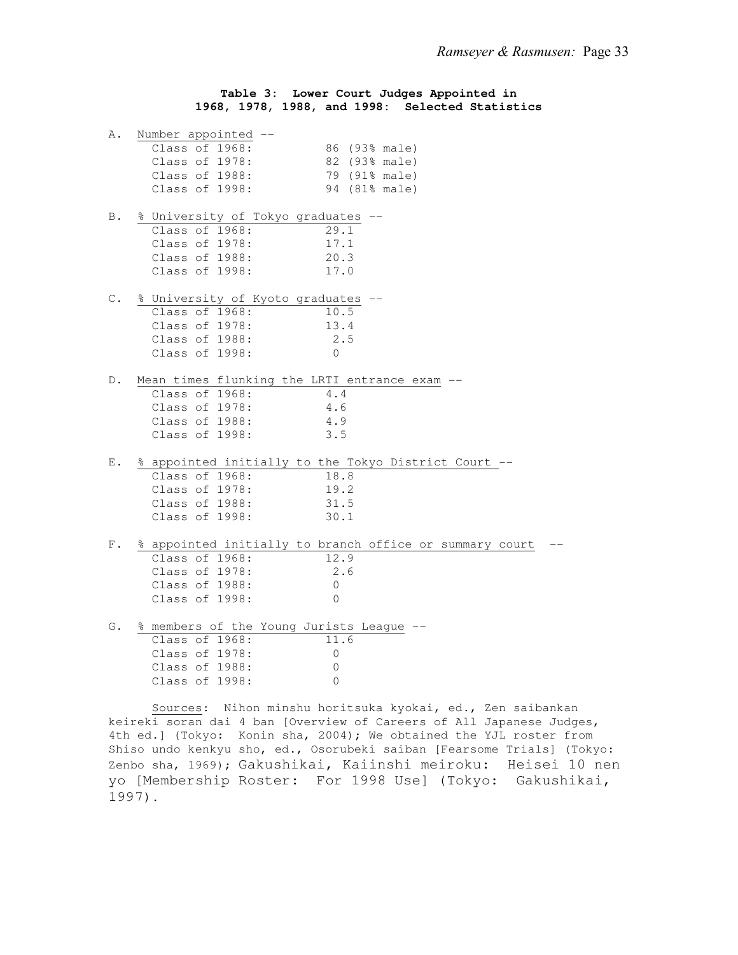## **Table 3: Lower Court Judges Appointed in 1968, 1978, 1988, and 1998: Selected Statistics**

| Α.             | Number appointed --                         |                                                         |
|----------------|---------------------------------------------|---------------------------------------------------------|
|                | Class of 1968:                              | 86 (93% male)                                           |
|                | Class of 1978:                              | 82 (93% male)                                           |
|                | Class of 1988:                              | 79 (91% male)                                           |
|                | Class of 1998:                              | 94 (81% male)                                           |
| Β.             | % University of Tokyo graduates             |                                                         |
|                | Class of 1968:                              | 29.1                                                    |
|                | Class of 1978:                              | 17.1                                                    |
|                | Class of 1988:                              | 20.3                                                    |
|                | Class of 1998:                              | 17.0                                                    |
| $\mathbb{C}$ . | % University of Kyoto graduates             |                                                         |
|                | Class of 1968:                              | 10.5                                                    |
|                | Class of 1978:                              | 13.4                                                    |
|                | Class of 1988:                              | 2.5                                                     |
|                | Class of 1998:                              | $\Omega$                                                |
| D.             | Mean times flunking the LRTI entrance exam  |                                                         |
|                | Class of 1968:                              | 4.4                                                     |
|                | Class of 1978:                              | 4.6                                                     |
|                | Class of 1988:                              | 4.9                                                     |
|                | Class of 1998:                              | 3.5                                                     |
| Е.             |                                             | % appointed initially to the Tokyo District Court --    |
|                | Class of 1968:                              | 18.8                                                    |
|                | Class of 1978:                              | 19.2                                                    |
|                | Class of 1988:                              | 31.5                                                    |
|                | Class of 1998:                              | 30.1                                                    |
| $F$ .          |                                             | % appointed initially to branch office or summary court |
|                | Class of 1968:                              | 12.9                                                    |
|                | Class of 1978:                              | 2.6                                                     |
|                | Class of 1988:                              | $\Omega$                                                |
|                | Class of 1998:                              | $\Omega$                                                |
|                | G. % members of the Young Jurists League -- |                                                         |
|                |                                             |                                                         |

| Class of 1968: |  | 11.6             |
|----------------|--|------------------|
| Class of 1978: |  | $\left( \right)$ |
| Class of 1988: |  | $\left( \right)$ |
| Class of 1998: |  |                  |

 Sources: Nihon minshu horitsuka kyokai, ed., Zen saibankan keireki soran dai 4 ban [Overview of Careers of All Japanese Judges, 4th ed.] (Tokyo: Konin sha, 2004); We obtained the YJL roster from Shiso undo kenkyu sho, ed., Osorubeki saiban [Fearsome Trials] (Tokyo: Zenbo sha, 1969); Gakushikai, Kaiinshi meiroku: Heisei 10 nen yo [Membership Roster: For 1998 Use] (Tokyo: Gakushikai, 1997).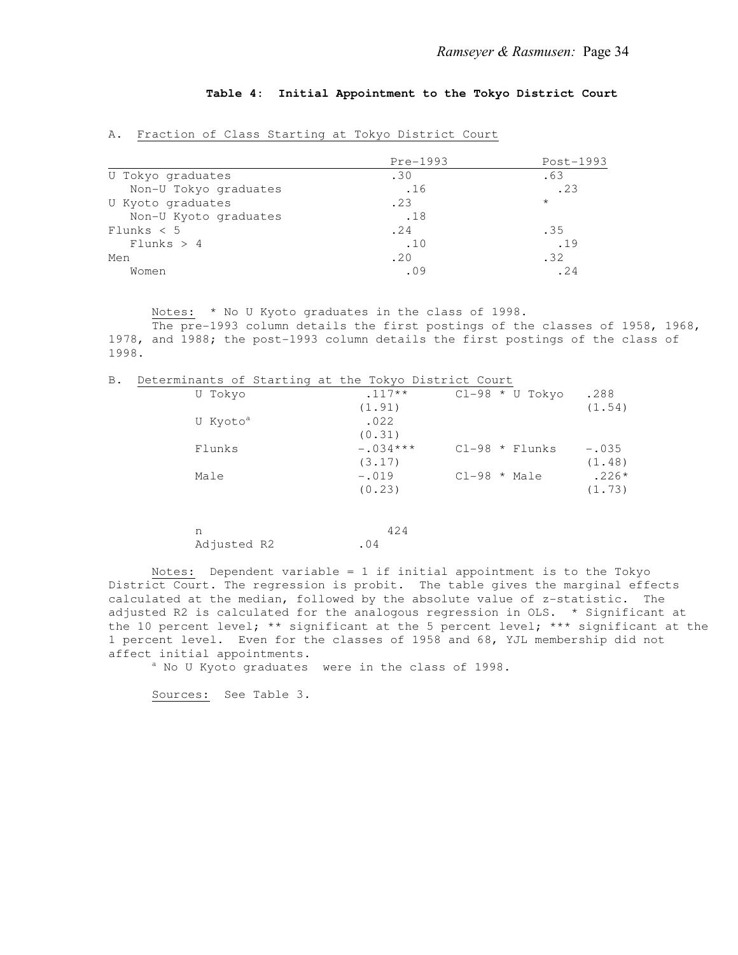## **Table 4: Initial Appointment to the Tokyo District Court**

|                       | Pre-1993 | $Post-1993$ |
|-----------------------|----------|-------------|
| U Tokyo graduates     | .30      | .63         |
| Non-U Tokyo graduates | .16      | .23         |
| U Kyoto graduates     | .23      | $\star$     |
| Non-U Kyoto graduates | .18      |             |
| Flunks < 5            | .24      | .35         |
| Flunks > 4            | .10      | .19         |
| Men                   | .20      | .32         |
| Women                 | .09      | .24         |

A. Fraction of Class Starting at Tokyo District Court

Notes: \* No U Kyoto graduates in the class of 1998.

 The pre-1993 column details the first postings of the classes of 1958, 1968, 1978, and 1988; the post-1993 column details the first postings of the class of 1998.

B. Determinants of Starting at the Tokyo District Court

| U Tokyo              | $.117**$   |                | $Cl-98 * U Tokyo$ | .288    |
|----------------------|------------|----------------|-------------------|---------|
|                      | (1.91)     |                |                   | (1.54)  |
| U Kyoto <sup>a</sup> | .022       |                |                   |         |
|                      | (0.31)     |                |                   |         |
| Flunks               | $-.034***$ |                | $Cl-98$ * Flunks  | $-.035$ |
|                      | (3.17)     |                |                   | (1.48)  |
| Male                 | $-.019$    | $Cl-98$ * Male |                   | $.226*$ |
|                      | (0.23)     |                |                   | (1.73)  |
|                      |            |                |                   |         |

| - n         |     | 424 |
|-------------|-----|-----|
| Adjusted R2 | .04 |     |

 Notes: Dependent variable = 1 if initial appointment is to the Tokyo District Court. The regression is probit. The table gives the marginal effects calculated at the median, followed by the absolute value of z-statistic. The adjusted R2 is calculated for the analogous regression in OLS. \* Significant at the 10 percent level; \*\* significant at the 5 percent level; \*\*\* significant at the 1 percent level. Even for the classes of 1958 and 68, YJL membership did not affect initial appointments.

a No U Kyoto graduates were in the class of 1998.

Sources: See Table 3.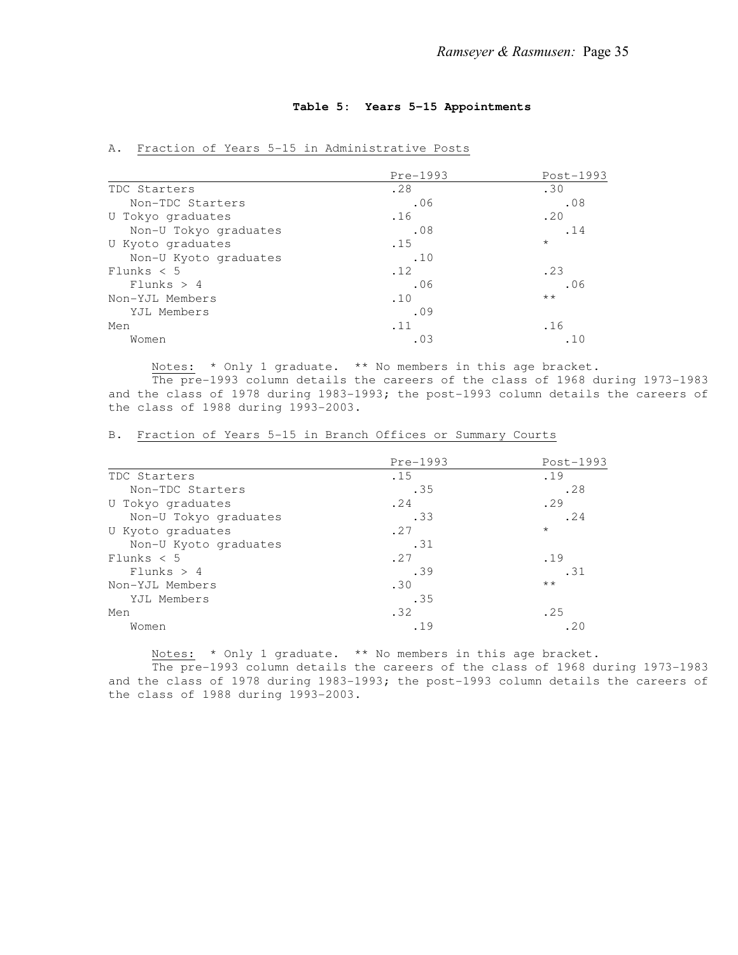## **Table 5: Years 5-15 Appointments**

|                       | Pre-1993 | Post-1993    |
|-----------------------|----------|--------------|
| TDC Starters          | .28      | .30          |
| Non-TDC Starters      | .06      | .08          |
| U Tokyo graduates     | .16      | .20          |
| Non-U Tokyo graduates | .08      | .14          |
| U Kyoto graduates     | .15      | $\star$      |
| Non-U Kyoto graduates | .10      |              |
| Flunks $< 5$          | .12      | .23          |
| Flunks > 4            | .06      | .06          |
| Non-YJL Members       | .10      | $\star\star$ |
| YJL Members           | .09      |              |
| Men                   | .11      | .16          |
| Women                 | .03      | .10          |

## A. Fraction of Years 5-15 in Administrative Posts

Notes: \* Only 1 graduate. \*\* No members in this age bracket.

 The pre-1993 column details the careers of the class of 1968 during 1973-1983 and the class of 1978 during 1983-1993; the post-1993 column details the careers of the class of 1988 during 1993-2003.

|                       | Pre-1993 | Post-1993    |
|-----------------------|----------|--------------|
| TDC Starters          | .15      | .19          |
| Non-TDC Starters      | .35      | .28          |
| U Tokyo graduates     | .24      | .29          |
| Non-U Tokyo graduates | .33      | .24          |
| U Kyoto graduates     | .27      | $\star$      |
| Non-U Kyoto graduates | .31      |              |
| Flunks < 5            | .27      | .19          |
| Flunks > 4            | .39      | .31          |
| Non-YJL Members       | .30      | $\star\star$ |
| YJL Members           | .35      |              |
| Men                   | .32      | .25          |
| Women                 | .19      | .20          |

B. Fraction of Years 5-15 in Branch Offices or Summary Courts

Notes: \* Only 1 graduate. \*\* No members in this age bracket.

 The pre-1993 column details the careers of the class of 1968 during 1973-1983 and the class of 1978 during 1983-1993; the post-1993 column details the careers of the class of 1988 during 1993-2003.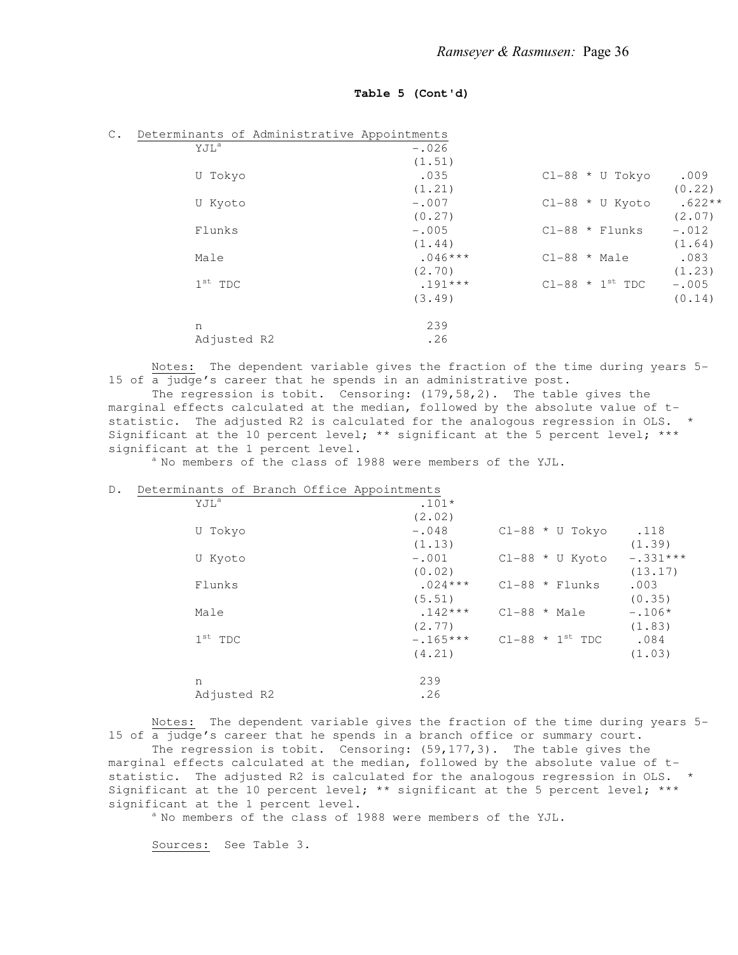#### **Table 5 (Cont'd)**

| $\mathbb{C}$ . | Determinants of Administrative Appointments |           |                        |          |
|----------------|---------------------------------------------|-----------|------------------------|----------|
|                | YJL <sup>a</sup>                            | $-.026$   |                        |          |
|                |                                             | (1.51)    |                        |          |
|                | U Tokyo                                     | .035      | $Cl-88$ * U Tokyo      | .009     |
|                |                                             | (1.21)    |                        | (0.22)   |
|                | U Kyoto                                     | $-.007$   | $Cl-88$ * U Kyoto      | $.622**$ |
|                |                                             | (0.27)    |                        | (2.07)   |
|                | Flunks                                      | $-.005$   | $Cl-88$ * Flunks       | $-.012$  |
|                |                                             | (1.44)    |                        | (1.64)   |
|                | Male                                        | $.046***$ | $Cl-88$ * Male         | .083     |
|                |                                             | (2, 70)   |                        | (1.23)   |
|                | $1st$ TDC                                   | $.191***$ | $CL-88$ * $1^{st}$ TDC | $-.005$  |
|                |                                             | (3.49)    |                        | (0.14)   |
|                | n                                           | 239       |                        |          |
|                | Adjusted R2                                 | .26       |                        |          |

 Notes: The dependent variable gives the fraction of the time during years 5- 15 of  $\overline{a}$  judge's career that he spends in an administrative post.

 The regression is tobit. Censoring: (179,58,2). The table gives the marginal effects calculated at the median, followed by the absolute value of tstatistic. The adjusted R2 is calculated for the analogous regression in OLS. \* Significant at the 10 percent level; \*\* significant at the 5 percent level; \*\*\* significant at the 1 percent level.

 $^{\text{a}}$  No members of the class of 1988 were members of the YJL.

#### D. Determinants of Branch Office Appointments

| YJL <sup>a</sup>    | $.101*$   |                        |            |
|---------------------|-----------|------------------------|------------|
|                     | (2.02)    |                        |            |
| U Tokyo             | $-.048$   | $Cl-88 * U Tokyo$      | .118       |
|                     | (1.13)    |                        | (1.39)     |
| U Kyoto             | $-.001$   | $Cl-88 * U$ Kyoto      | $-.331***$ |
|                     | (0.02)    |                        | (13.17)    |
| Flunks              | $.024***$ | $Cl-88$ * Flunks       | .003       |
|                     | (5.51)    |                        | (0.35)     |
| Male                | $.142***$ | $Cl-88$ * Male         | $-.106*$   |
|                     | (2.77)    |                        | (1.83)     |
| $1^{\text{st}}$ TDC | $-165***$ | $Cl-88$ * $1^{st}$ TDC | .084       |
|                     | (4.21)    |                        | (1.03)     |
| n                   | 239       |                        |            |
| Adjusted R2         | .26       |                        |            |
|                     |           |                        |            |

 Notes: The dependent variable gives the fraction of the time during years 5- 15 of a judge's career that he spends in a branch office or summary court.

 The regression is tobit. Censoring: (59,177,3). The table gives the marginal effects calculated at the median, followed by the absolute value of tstatistic. The adjusted R2 is calculated for the analogous regression in OLS. \* Significant at the 10 percent level; \*\* significant at the 5 percent level; \*\*\* significant at the 1 percent level.

 $^{\text{a}}$  No members of the class of 1988 were members of the YJL.

Sources: See Table 3.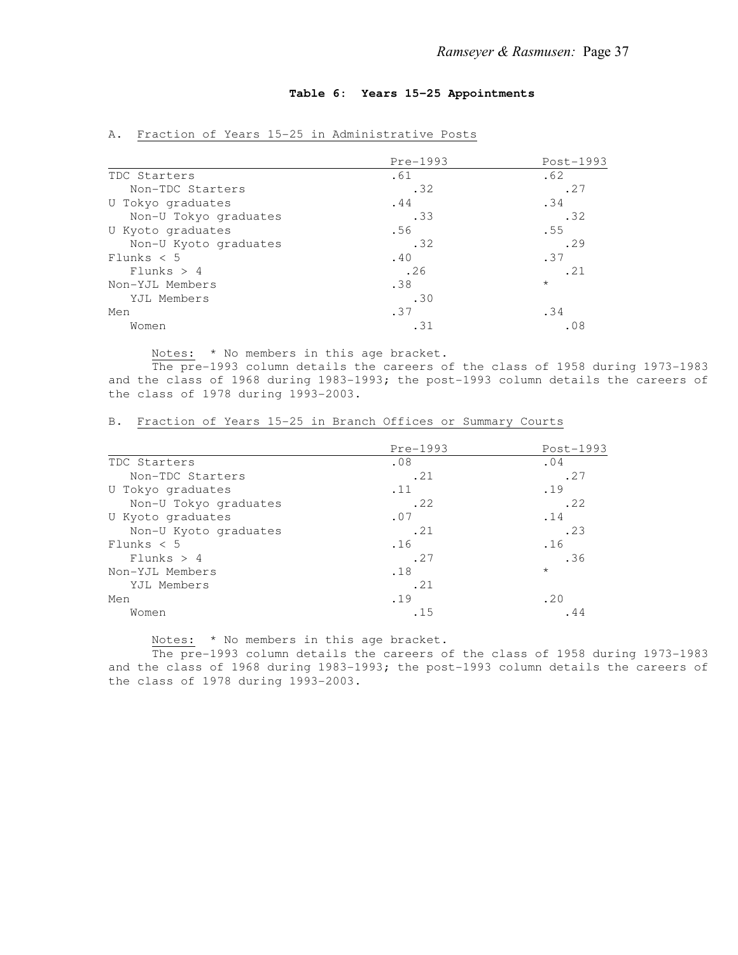## **Table 6: Years 15-25 Appointments**

|                       | Pre-1993 | Post-1993 |
|-----------------------|----------|-----------|
| TDC Starters          | .61      | .62       |
| Non-TDC Starters      | .32      | .27       |
| U Tokyo graduates     | .44      | .34       |
| Non-U Tokyo graduates | .33      | .32       |
| U Kyoto graduates     | .56      | .55       |
| Non-U Kyoto graduates | .32      | .29       |
| Flunks $< 5$          | .40      | .37       |
| Flunks > 4            | .26      | .21       |
| Non-YJL Members       | .38      | $\star$   |
| YJL Members           | .30      |           |
| Men                   | .37      | .34       |
| Women                 | .31      | .08       |

## A. Fraction of Years 15-25 in Administrative Posts

Notes: \* No members in this age bracket.

 The pre-1993 column details the careers of the class of 1958 during 1973-1983 and the class of 1968 during 1983-1993; the post-1993 column details the careers of the class of 1978 during 1993-2003.

|                       | Pre-1993 | Post-1993 |
|-----------------------|----------|-----------|
| TDC Starters          | .08      | .04       |
| Non-TDC Starters      | .21      | .27       |
| U Tokyo graduates     | .11      | .19       |
| Non-U Tokyo graduates | .22      | .22       |
| U Kyoto graduates     | .07      | .14       |
| Non-U Kyoto graduates | .21      | .23       |
| Flunks $< 5$          | .16      | .16       |
| Flunks > 4            | .27      | .36       |
| Non-YJL Members       | .18      | $\star$   |
| YJL Members           | .21      |           |
| Men                   | .19      | .20       |
| Women                 | .15      | . 44      |

#### B. Fraction of Years 15-25 in Branch Offices or Summary Courts

Notes: \* No members in this age bracket.

 The pre-1993 column details the careers of the class of 1958 during 1973-1983 and the class of 1968 during 1983-1993; the post-1993 column details the careers of the class of 1978 during 1993-2003.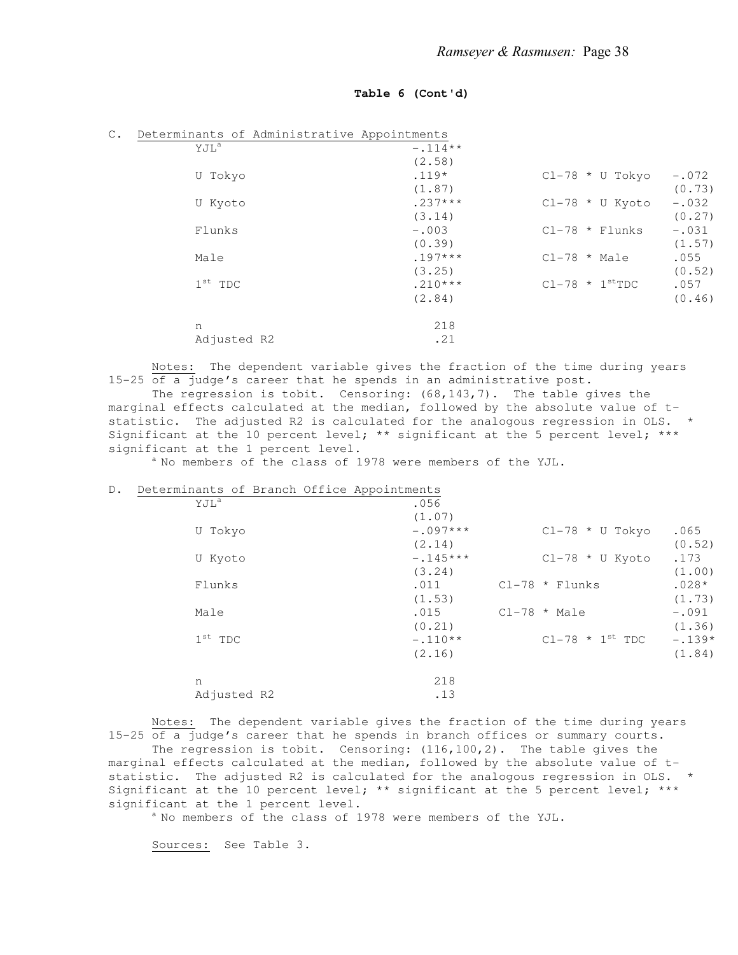#### **Table 6 (Cont'd)**

| $\mathbb{C}$ . | Determinants of Administrative Appointments |           |                              |         |
|----------------|---------------------------------------------|-----------|------------------------------|---------|
|                | YJL <sup>a</sup>                            | $-.114**$ |                              |         |
|                |                                             | (2.58)    |                              |         |
|                | U Tokyo                                     | $.119*$   | $Cl-78 * U Tokyo$            | $-.072$ |
|                |                                             | (1.87)    |                              | (0.73)  |
|                | U Kyoto                                     | $.237***$ | $Cl-78 * U$ Kyoto            | $-.032$ |
|                |                                             | (3.14)    |                              | (0.27)  |
|                | Flunks                                      | $-.003$   | $Cl-78$ * Flunks             | $-.031$ |
|                |                                             | (0.39)    |                              | (1.57)  |
|                | Male                                        | $.197***$ | $Cl-78$ * Male               | .055    |
|                |                                             | (3.25)    |                              | (0.52)  |
|                | $1st$ TDC                                   | $.210***$ | $Cl-78$ * $1^{\text{st}}TDC$ | .057    |
|                |                                             | (2.84)    |                              | (0.46)  |
|                | n                                           | 218       |                              |         |
|                | Adjusted R2                                 | .21       |                              |         |

 Notes: The dependent variable gives the fraction of the time during years 15-25 of a judge's career that he spends in an administrative post.

 The regression is tobit. Censoring: (68,143,7). The table gives the marginal effects calculated at the median, followed by the absolute value of tstatistic. The adjusted R2 is calculated for the analogous regression in OLS. \* Significant at the 10 percent level; \*\* significant at the 5 percent level; \*\*\* significant at the 1 percent level.

 $^{\text{a}}$  No members of the class of 1978 were members of the YJL.

#### D. Determinants of Branch Office Appointments

| YJL <sup>a</sup>    | .056       |                        |          |
|---------------------|------------|------------------------|----------|
|                     | (1.07)     |                        |          |
| U Tokyo             | $-.097***$ | $Cl-78 * U Tokyo$      | .065     |
|                     | (2.14)     |                        | (0.52)   |
| U Kyoto             | $-.145***$ | $Cl-78 * U$ Kyoto      | .173     |
|                     | (3, 24)    |                        | (1.00)   |
| Flunks              | .011       | $Cl-78$ * Flunks       | $.028*$  |
|                     | (1.53)     |                        | (1.73)   |
| Male                | .015       | $Cl-78$ * Male         | $-.091$  |
|                     | (0.21)     |                        | (1.36)   |
| $1^{\text{st}}$ TDC | $-.110**$  | $Cl-78$ * $1^{st}$ TDC | $-.139*$ |
|                     | (2.16)     |                        | (1.84)   |
| n                   | 218        |                        |          |
| Adjusted R2         | .13        |                        |          |
|                     |            |                        |          |

 Notes: The dependent variable gives the fraction of the time during years 15-25 of a judge's career that he spends in branch offices or summary courts.

 The regression is tobit. Censoring: (116,100,2). The table gives the marginal effects calculated at the median, followed by the absolute value of tstatistic. The adjusted R2 is calculated for the analogous regression in OLS. Significant at the 10 percent level; \*\* significant at the 5 percent level; \*\*\* significant at the 1 percent level.

 $^{\text{a}}$  No members of the class of 1978 were members of the YJL.

Sources: See Table 3.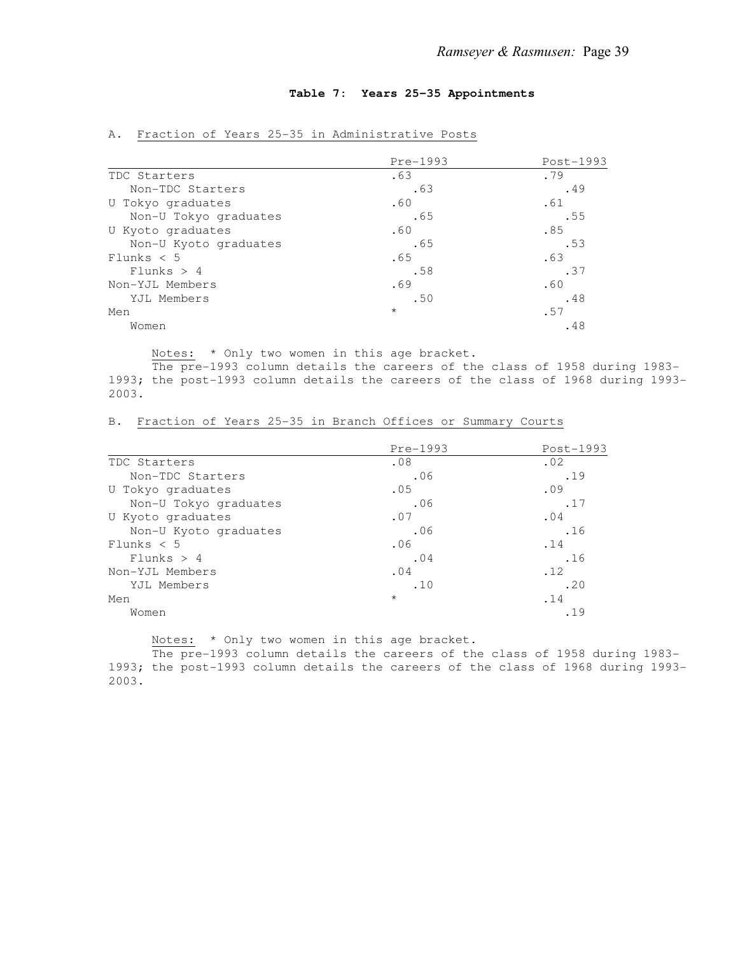## **Table 7: Years 25-35 Appointments**

|                       | Pre-1993 | Post-1993 |
|-----------------------|----------|-----------|
| TDC Starters          | .63      | .79       |
| Non-TDC Starters      | .63      | .49       |
| U Tokyo graduates     | .60      | .61       |
| Non-U Tokyo graduates | .65      | .55       |
| U Kyoto graduates     | .60      | .85       |
| Non-U Kyoto graduates | .65      | .53       |
| Flunks $< 5$          | .65      | .63       |
| Flunks > 4            | .58      | .37       |
| Non-YJL Members       | .69      | .60       |
| YJL Members           | .50      | .48       |
| Men                   | $\star$  | .57       |
| Women                 |          | .48       |

## A. Fraction of Years 25-35 in Administrative Posts

Notes: \* Only two women in this age bracket.

 The pre-1993 column details the careers of the class of 1958 during 1983- 1993; the post-1993 column details the careers of the class of 1968 during 1993- 2003.

|                       | Pre-1993 | Post-1993 |
|-----------------------|----------|-----------|
| TDC Starters          | .08      | .02       |
| Non-TDC Starters      | .06      | .19       |
| U Tokyo graduates     | .05      | .09       |
| Non-U Tokyo graduates | .06      | .17       |
| U Kyoto graduates     | .07      | .04       |
| Non-U Kyoto graduates | .06      | .16       |
| Flunks $< 5$          | .06      | .14       |
| Flunks > 4            | .04      | .16       |
| Non-YJL Members       | .04      | .12       |
| YJL Members           | .10      | .20       |
| Men                   | $\star$  | .14       |
| Women                 |          | .19       |

B. Fraction of Years 25-35 in Branch Offices or Summary Courts

Notes: \* Only two women in this age bracket.

 The pre-1993 column details the careers of the class of 1958 during 1983- 1993; the post-1993 column details the careers of the class of 1968 during 1993- 2003.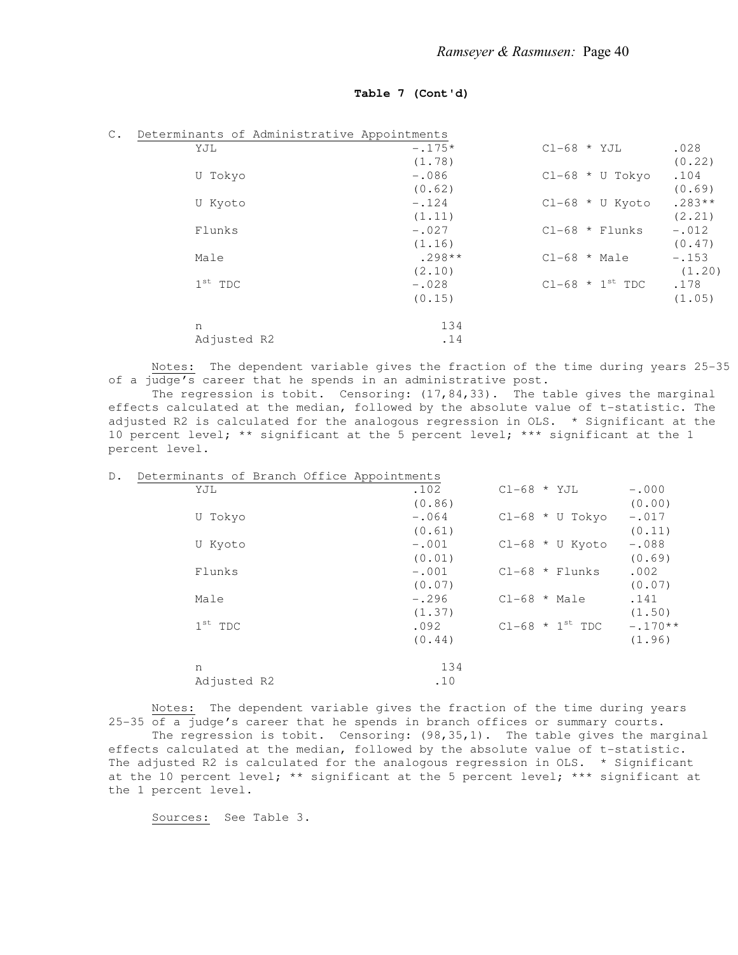## **Table 7 (Cont'd)**

| $\mathbb{C}$ . | Determinants of Administrative Appointments |          |                        |          |
|----------------|---------------------------------------------|----------|------------------------|----------|
|                | YJL                                         | $-.175*$ | $CL-68$ * YJL          | .028     |
|                |                                             | (1.78)   |                        | (0.22)   |
|                | U Tokyo                                     | $-.086$  | $Cl-68 * U Tokyo$      | .104     |
|                |                                             | (0.62)   |                        | (0.69)   |
|                | U Kyoto                                     | $-.124$  | $Cl-68 * U$ Kyoto      | $.283**$ |
|                |                                             | (1.11)   |                        | (2.21)   |
|                | Flunks                                      | $-.027$  | $Cl-68$ * Flunks       | $-.012$  |
|                |                                             | (1.16)   |                        | (0.47)   |
|                | Male                                        | $.298**$ | $Cl-68$ * Male         | $-.153$  |
|                |                                             | (2.10)   |                        | (1.20)   |
|                | $1st$ TDC                                   | $-.028$  | $Cl-68$ * $1^{st}$ TDC | .178     |
|                |                                             | (0.15)   |                        | (1.05)   |
|                | n                                           | 134      |                        |          |
|                | Adjusted R2                                 | .14      |                        |          |

 Notes: The dependent variable gives the fraction of the time during years 25-35 of a judge's career that he spends in an administrative post.

The regression is tobit. Censoring:  $(17, 84, 33)$ . The table gives the marginal effects calculated at the median, followed by the absolute value of t-statistic. The adjusted R2 is calculated for the analogous regression in OLS. \* Significant at the 10 percent level; \*\* significant at the 5 percent level; \*\*\* significant at the 1 percent level.

| $D$ . | Determinants of Branch Office Appointments |         |                        |           |
|-------|--------------------------------------------|---------|------------------------|-----------|
|       | YJL                                        | .102    | $CL-68$ * YJL          | $-.000$   |
|       |                                            | (0.86)  |                        | (0.00)    |
|       | U Tokyo                                    | $-.064$ | $Cl-68 * U Tokyo$      | $-.017$   |
|       |                                            | (0.61)  |                        | (0.11)    |
|       | U Kyoto                                    | $-.001$ | $Cl-68 * U$ Kyoto      | $-.088$   |
|       |                                            | (0.01)  |                        | (0.69)    |
|       | Flunks                                     | $-.001$ | $Cl-68$ * Flunks       | .002      |
|       |                                            | (0.07)  |                        | (0.07)    |
|       | Male                                       | $-.296$ | $Cl-68$ * Male         | .141      |
|       |                                            | (1.37)  |                        | (1.50)    |
|       | $1st$ TDC                                  | .092    | $Cl-68$ * $1^{st}$ TDC | $-.170**$ |
|       |                                            | (0.44)  |                        | (1.96)    |
|       | n                                          | 134     |                        |           |
|       | Adjusted R2                                | .10     |                        |           |

 Notes: The dependent variable gives the fraction of the time during years 25-35 of a judge's career that he spends in branch offices or summary courts. The regression is tobit. Censoring: (98,35,1). The table gives the marginal effects calculated at the median, followed by the absolute value of t-statistic. The adjusted R2 is calculated for the analogous regression in OLS. \* Significant at the 10 percent level; \*\* significant at the 5 percent level; \*\*\* significant at the 1 percent level.

Sources: See Table 3.